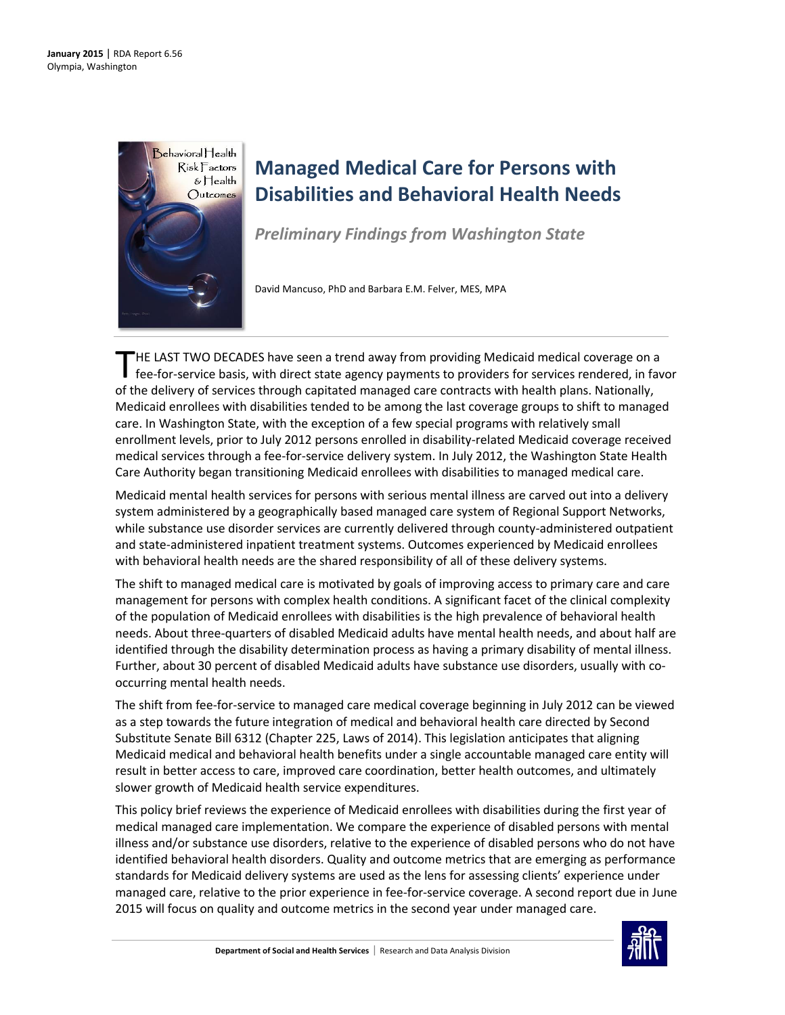

# **Managed Medical Care for Persons with Disabilities and Behavioral Health Needs**

*Preliminary Findings from Washington State*

David Mancuso, PhD and Barbara E.M. Felver, MES, MPA

HE LAST TWO DECADES have seen a trend away from providing Medicaid medical coverage on a fee-for-service basis, with direct state agency payments to providers for services rendered, in favor THE LAST TWO DECADES have seen a trend away from providing Medicaid medical coverage on a fee-for-service basis, with direct state agency payments to providers for services rendered, in fact the delivery of services throug Medicaid enrollees with disabilities tended to be among the last coverage groups to shift to managed care. In Washington State, with the exception of a few special programs with relatively small enrollment levels, prior to July 2012 persons enrolled in disability-related Medicaid coverage received medical services through a fee-for-service delivery system. In July 2012, the Washington State Health Care Authority began transitioning Medicaid enrollees with disabilities to managed medical care.

Medicaid mental health services for persons with serious mental illness are carved out into a delivery system administered by a geographically based managed care system of Regional Support Networks, while substance use disorder services are currently delivered through county-administered outpatient and state-administered inpatient treatment systems. Outcomes experienced by Medicaid enrollees with behavioral health needs are the shared responsibility of all of these delivery systems.

The shift to managed medical care is motivated by goals of improving access to primary care and care management for persons with complex health conditions. A significant facet of the clinical complexity of the population of Medicaid enrollees with disabilities is the high prevalence of behavioral health needs. About three-quarters of disabled Medicaid adults have mental health needs, and about half are identified through the disability determination process as having a primary disability of mental illness. Further, about 30 percent of disabled Medicaid adults have substance use disorders, usually with cooccurring mental health needs.

The shift from fee-for-service to managed care medical coverage beginning in July 2012 can be viewed as a step towards the future integration of medical and behavioral health care directed by Second Substitute Senate Bill 6312 (Chapter 225, Laws of 2014). This legislation anticipates that aligning Medicaid medical and behavioral health benefits under a single accountable managed care entity will result in better access to care, improved care coordination, better health outcomes, and ultimately slower growth of Medicaid health service expenditures.

This policy brief reviews the experience of Medicaid enrollees with disabilities during the first year of medical managed care implementation. We compare the experience of disabled persons with mental illness and/or substance use disorders, relative to the experience of disabled persons who do not have identified behavioral health disorders. Quality and outcome metrics that are emerging as performance standards for Medicaid delivery systems are used as the lens for assessing clients' experience under managed care, relative to the prior experience in fee-for-service coverage. A second report due in June 2015 will focus on quality and outcome metrics in the second year under managed care.

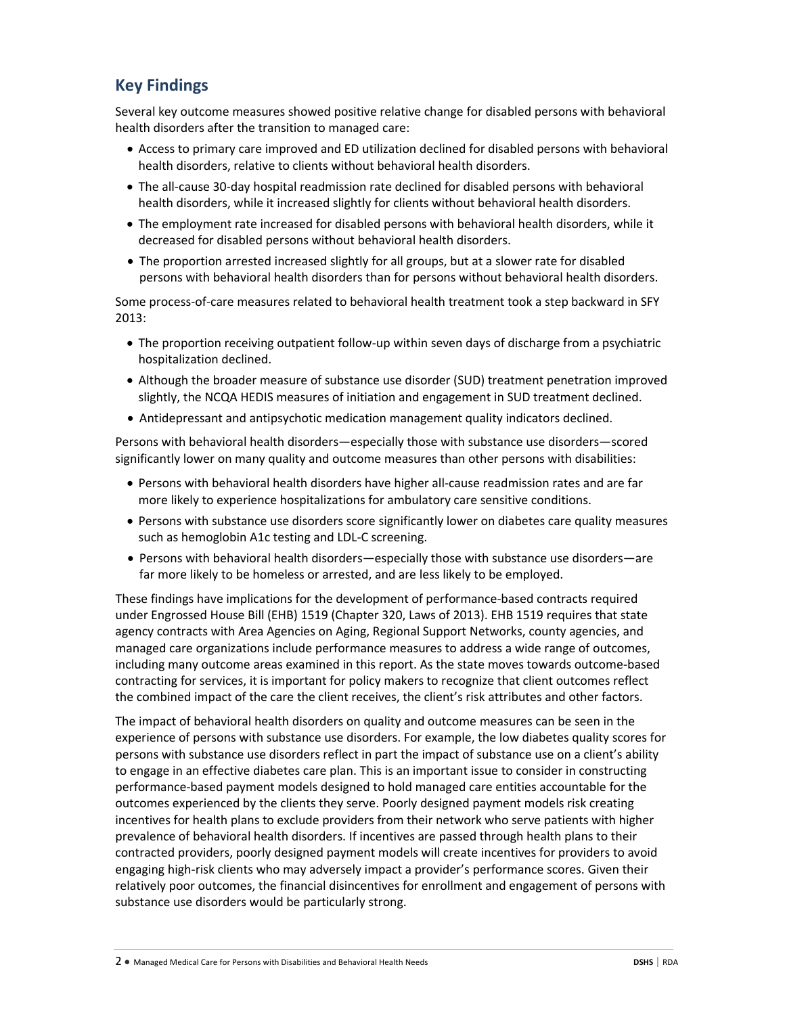# **Key Findings**

Several key outcome measures showed positive relative change for disabled persons with behavioral health disorders after the transition to managed care:

- Access to primary care improved and ED utilization declined for disabled persons with behavioral health disorders, relative to clients without behavioral health disorders.
- The all-cause 30-day hospital readmission rate declined for disabled persons with behavioral health disorders, while it increased slightly for clients without behavioral health disorders.
- The employment rate increased for disabled persons with behavioral health disorders, while it decreased for disabled persons without behavioral health disorders.
- The proportion arrested increased slightly for all groups, but at a slower rate for disabled persons with behavioral health disorders than for persons without behavioral health disorders.

Some process-of-care measures related to behavioral health treatment took a step backward in SFY 2013:

- The proportion receiving outpatient follow-up within seven days of discharge from a psychiatric hospitalization declined.
- Although the broader measure of substance use disorder (SUD) treatment penetration improved slightly, the NCQA HEDIS measures of initiation and engagement in SUD treatment declined.
- Antidepressant and antipsychotic medication management quality indicators declined.

Persons with behavioral health disorders—especially those with substance use disorders—scored significantly lower on many quality and outcome measures than other persons with disabilities:

- Persons with behavioral health disorders have higher all-cause readmission rates and are far more likely to experience hospitalizations for ambulatory care sensitive conditions.
- Persons with substance use disorders score significantly lower on diabetes care quality measures such as hemoglobin A1c testing and LDL-C screening.
- Persons with behavioral health disorders—especially those with substance use disorders—are far more likely to be homeless or arrested, and are less likely to be employed.

These findings have implications for the development of performance-based contracts required under Engrossed House Bill (EHB) 1519 (Chapter 320, Laws of 2013). EHB 1519 requires that state agency contracts with Area Agencies on Aging, Regional Support Networks, county agencies, and managed care organizations include performance measures to address a wide range of outcomes, including many outcome areas examined in this report. As the state moves towards outcome-based contracting for services, it is important for policy makers to recognize that client outcomes reflect the combined impact of the care the client receives, the client's risk attributes and other factors.

The impact of behavioral health disorders on quality and outcome measures can be seen in the experience of persons with substance use disorders. For example, the low diabetes quality scores for persons with substance use disorders reflect in part the impact of substance use on a client's ability to engage in an effective diabetes care plan. This is an important issue to consider in constructing performance-based payment models designed to hold managed care entities accountable for the outcomes experienced by the clients they serve. Poorly designed payment models risk creating incentives for health plans to exclude providers from their network who serve patients with higher prevalence of behavioral health disorders. If incentives are passed through health plans to their contracted providers, poorly designed payment models will create incentives for providers to avoid engaging high-risk clients who may adversely impact a provider's performance scores. Given their relatively poor outcomes, the financial disincentives for enrollment and engagement of persons with substance use disorders would be particularly strong.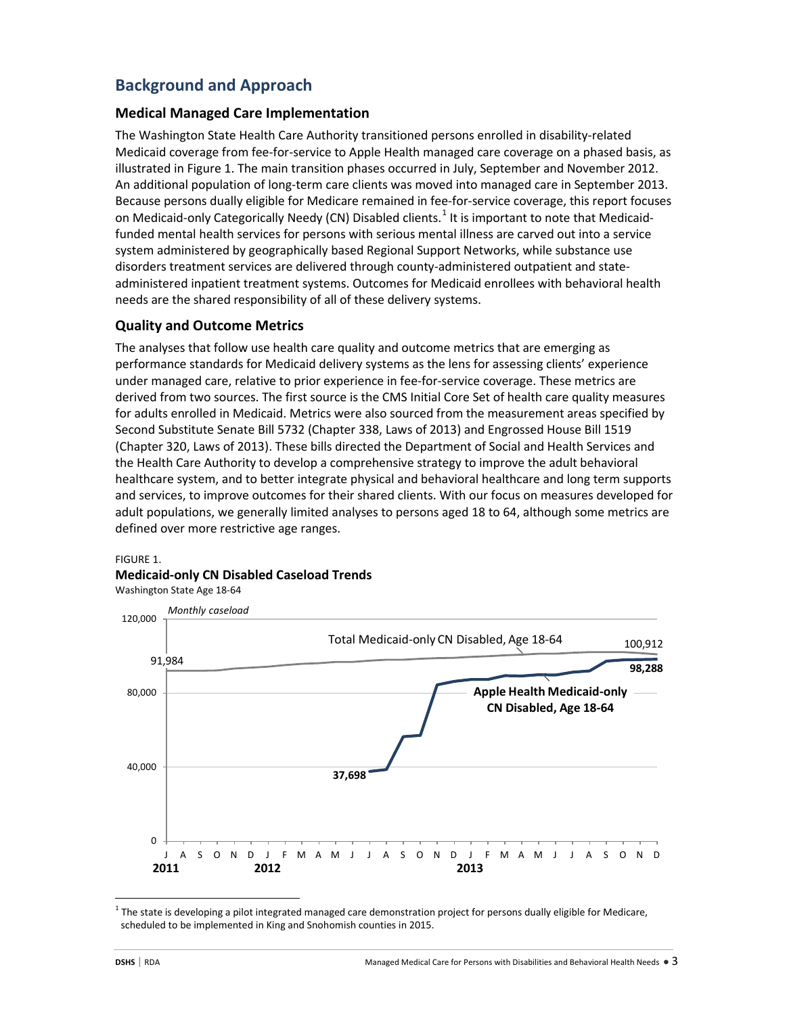# **Background and Approach**

## **Medical Managed Care Implementation**

The Washington State Health Care Authority transitioned persons enrolled in disability-related Medicaid coverage from fee-for-service to Apple Health managed care coverage on a phased basis, as illustrated in Figure 1. The main transition phases occurred in July, September and November 2012. An additional population of long-term care clients was moved into managed care in September 2013. Because persons dually eligible for Medicare remained in fee-for-service coverage, this report focuses on Medicaid-only Categorically Needy (CN) Disabled clients.<sup>[1](#page-2-0)</sup> It is important to note that Medicaidfunded mental health services for persons with serious mental illness are carved out into a service system administered by geographically based Regional Support Networks, while substance use disorders treatment services are delivered through county-administered outpatient and stateadministered inpatient treatment systems. Outcomes for Medicaid enrollees with behavioral health needs are the shared responsibility of all of these delivery systems.

# **Quality and Outcome Metrics**

The analyses that follow use health care quality and outcome metrics that are emerging as performance standards for Medicaid delivery systems as the lens for assessing clients' experience under managed care, relative to prior experience in fee-for-service coverage. These metrics are derived from two sources. The first source is the CMS Initial Core Set of health care quality measures for adults enrolled in Medicaid. Metrics were also sourced from the measurement areas specified by Second Substitute Senate Bill 5732 (Chapter 338, Laws of 2013) and Engrossed House Bill 1519 (Chapter 320, Laws of 2013). These bills directed the Department of Social and Health Services and the Health Care Authority to develop a comprehensive strategy to improve the adult behavioral healthcare system, and to better integrate physical and behavioral healthcare and long term supports and services, to improve outcomes for their shared clients. With our focus on measures developed for adult populations, we generally limited analyses to persons aged 18 to 64, although some metrics are defined over more restrictive age ranges.

#### FIGURE 1.

## **Medicaid-only CN Disabled Caseload Trends**

Washington State Age 18-64



<span id="page-2-0"></span> $1$ The state is developing a pilot integrated managed care demonstration project for persons dually eligible for Medicare, scheduled to be implemented in King and Snohomish counties in 2015.

 $\overline{\phantom{a}}$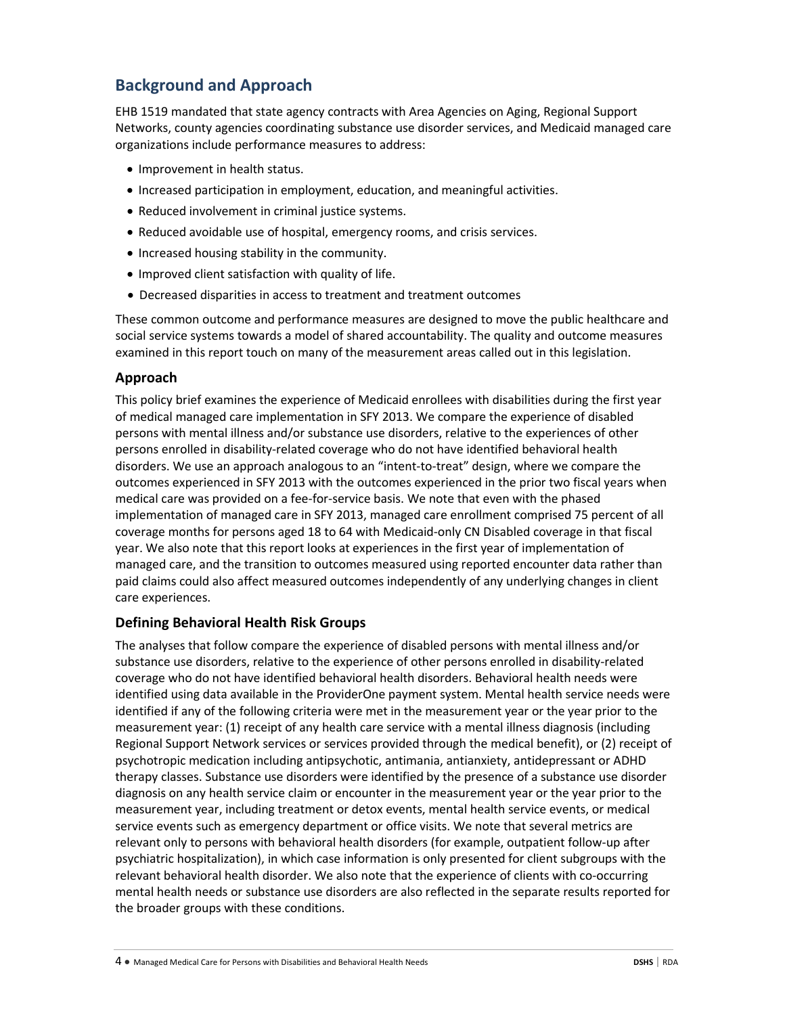# **Background and Approach**

EHB 1519 mandated that state agency contracts with Area Agencies on Aging, Regional Support Networks, county agencies coordinating substance use disorder services, and Medicaid managed care organizations include performance measures to address:

- Improvement in health status.
- Increased participation in employment, education, and meaningful activities.
- Reduced involvement in criminal justice systems.
- Reduced avoidable use of hospital, emergency rooms, and crisis services.
- Increased housing stability in the community.
- Improved client satisfaction with quality of life.
- Decreased disparities in access to treatment and treatment outcomes

These common outcome and performance measures are designed to move the public healthcare and social service systems towards a model of shared accountability. The quality and outcome measures examined in this report touch on many of the measurement areas called out in this legislation.

# **Approach**

This policy brief examines the experience of Medicaid enrollees with disabilities during the first year of medical managed care implementation in SFY 2013. We compare the experience of disabled persons with mental illness and/or substance use disorders, relative to the experiences of other persons enrolled in disability-related coverage who do not have identified behavioral health disorders. We use an approach analogous to an "intent-to-treat" design, where we compare the outcomes experienced in SFY 2013 with the outcomes experienced in the prior two fiscal years when medical care was provided on a fee-for-service basis. We note that even with the phased implementation of managed care in SFY 2013, managed care enrollment comprised 75 percent of all coverage months for persons aged 18 to 64 with Medicaid-only CN Disabled coverage in that fiscal year. We also note that this report looks at experiences in the first year of implementation of managed care, and the transition to outcomes measured using reported encounter data rather than paid claims could also affect measured outcomes independently of any underlying changes in client care experiences.

# **Defining Behavioral Health Risk Groups**

The analyses that follow compare the experience of disabled persons with mental illness and/or substance use disorders, relative to the experience of other persons enrolled in disability-related coverage who do not have identified behavioral health disorders. Behavioral health needs were identified using data available in the ProviderOne payment system. Mental health service needs were identified if any of the following criteria were met in the measurement year or the year prior to the measurement year: (1) receipt of any health care service with a mental illness diagnosis (including Regional Support Network services or services provided through the medical benefit), or (2) receipt of psychotropic medication including antipsychotic, antimania, antianxiety, antidepressant or ADHD therapy classes. Substance use disorders were identified by the presence of a substance use disorder diagnosis on any health service claim or encounter in the measurement year or the year prior to the measurement year, including treatment or detox events, mental health service events, or medical service events such as emergency department or office visits. We note that several metrics are relevant only to persons with behavioral health disorders (for example, outpatient follow-up after psychiatric hospitalization), in which case information is only presented for client subgroups with the relevant behavioral health disorder. We also note that the experience of clients with co-occurring mental health needs or substance use disorders are also reflected in the separate results reported for the broader groups with these conditions.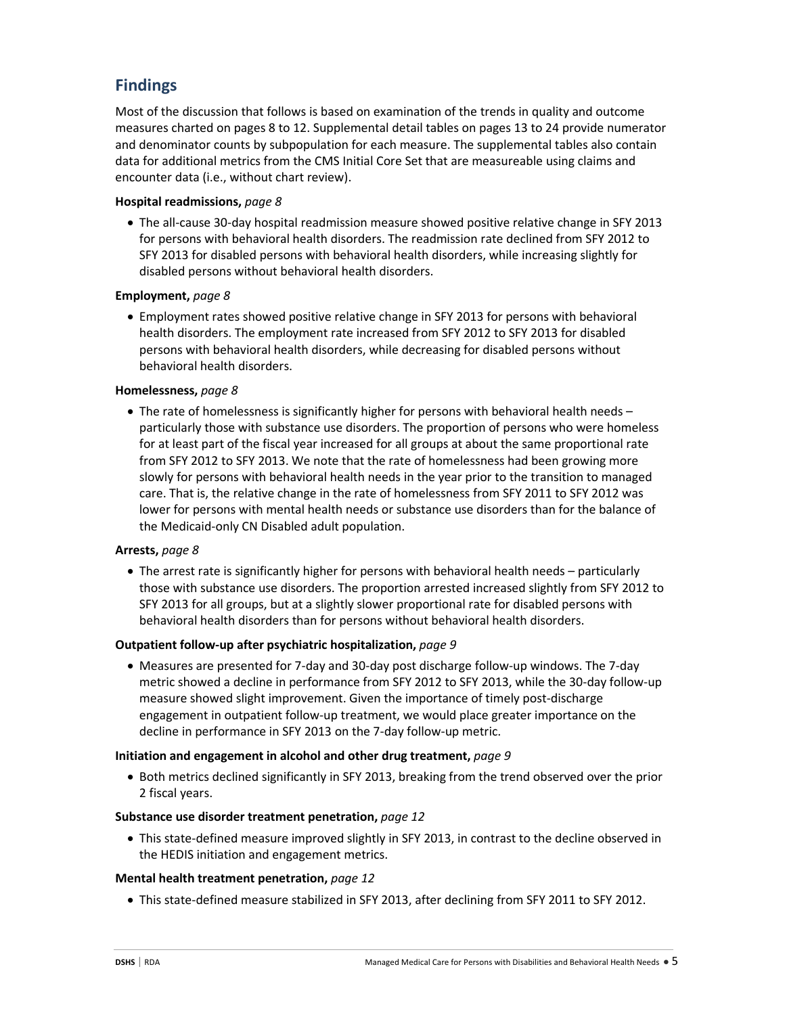# **Findings**

Most of the discussion that follows is based on examination of the trends in quality and outcome measures charted on pages 8 to 12. Supplemental detail tables on pages 13 to 24 provide numerator and denominator counts by subpopulation for each measure. The supplemental tables also contain data for additional metrics from the CMS Initial Core Set that are measureable using claims and encounter data (i.e., without chart review).

## **Hospital readmissions,** *page 8*

• The all-cause 30-day hospital readmission measure showed positive relative change in SFY 2013 for persons with behavioral health disorders. The readmission rate declined from SFY 2012 to SFY 2013 for disabled persons with behavioral health disorders, while increasing slightly for disabled persons without behavioral health disorders.

#### **Employment,** *page 8*

• Employment rates showed positive relative change in SFY 2013 for persons with behavioral health disorders. The employment rate increased from SFY 2012 to SFY 2013 for disabled persons with behavioral health disorders, while decreasing for disabled persons without behavioral health disorders.

#### **Homelessness,** *page 8*

• The rate of homelessness is significantly higher for persons with behavioral health needs – particularly those with substance use disorders. The proportion of persons who were homeless for at least part of the fiscal year increased for all groups at about the same proportional rate from SFY 2012 to SFY 2013. We note that the rate of homelessness had been growing more slowly for persons with behavioral health needs in the year prior to the transition to managed care. That is, the relative change in the rate of homelessness from SFY 2011 to SFY 2012 was lower for persons with mental health needs or substance use disorders than for the balance of the Medicaid-only CN Disabled adult population.

#### **Arrests,** *page 8*

• The arrest rate is significantly higher for persons with behavioral health needs – particularly those with substance use disorders. The proportion arrested increased slightly from SFY 2012 to SFY 2013 for all groups, but at a slightly slower proportional rate for disabled persons with behavioral health disorders than for persons without behavioral health disorders.

#### **Outpatient follow-up after psychiatric hospitalization,** *page 9*

• Measures are presented for 7-day and 30-day post discharge follow-up windows. The 7-day metric showed a decline in performance from SFY 2012 to SFY 2013, while the 30-day follow-up measure showed slight improvement. Given the importance of timely post-discharge engagement in outpatient follow-up treatment, we would place greater importance on the decline in performance in SFY 2013 on the 7-day follow-up metric.

#### **Initiation and engagement in alcohol and other drug treatment,** *page 9*

• Both metrics declined significantly in SFY 2013, breaking from the trend observed over the prior 2 fiscal years.

#### **Substance use disorder treatment penetration,** *page 12*

• This state-defined measure improved slightly in SFY 2013, in contrast to the decline observed in the HEDIS initiation and engagement metrics.

#### **Mental health treatment penetration,** *page 12*

• This state-defined measure stabilized in SFY 2013, after declining from SFY 2011 to SFY 2012.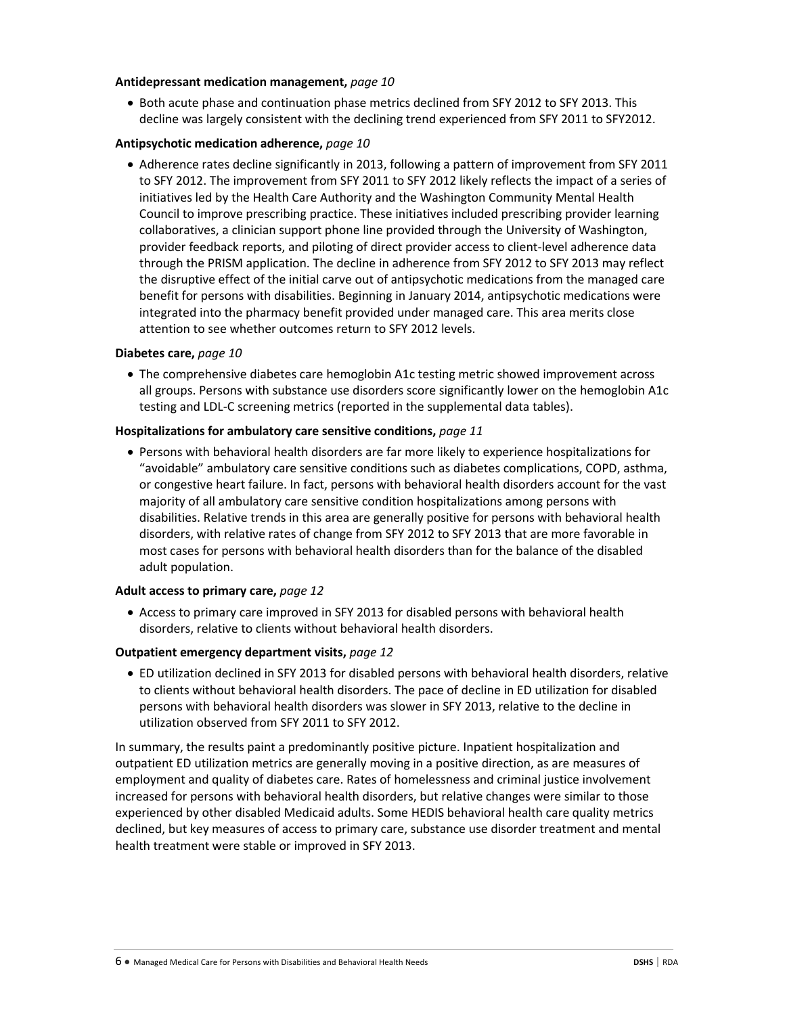#### **Antidepressant medication management,** *page 10*

• Both acute phase and continuation phase metrics declined from SFY 2012 to SFY 2013. This decline was largely consistent with the declining trend experienced from SFY 2011 to SFY2012.

#### **Antipsychotic medication adherence,** *page 10*

• Adherence rates decline significantly in 2013, following a pattern of improvement from SFY 2011 to SFY 2012. The improvement from SFY 2011 to SFY 2012 likely reflects the impact of a series of initiatives led by the Health Care Authority and the Washington Community Mental Health Council to improve prescribing practice. These initiatives included prescribing provider learning collaboratives, a clinician support phone line provided through the University of Washington, provider feedback reports, and piloting of direct provider access to client-level adherence data through the PRISM application. The decline in adherence from SFY 2012 to SFY 2013 may reflect the disruptive effect of the initial carve out of antipsychotic medications from the managed care benefit for persons with disabilities. Beginning in January 2014, antipsychotic medications were integrated into the pharmacy benefit provided under managed care. This area merits close attention to see whether outcomes return to SFY 2012 levels.

#### **Diabetes care,** *page 10*

• The comprehensive diabetes care hemoglobin A1c testing metric showed improvement across all groups. Persons with substance use disorders score significantly lower on the hemoglobin A1c testing and LDL-C screening metrics (reported in the supplemental data tables).

#### **Hospitalizations for ambulatory care sensitive conditions,** *page 11*

• Persons with behavioral health disorders are far more likely to experience hospitalizations for "avoidable" ambulatory care sensitive conditions such as diabetes complications, COPD, asthma, or congestive heart failure. In fact, persons with behavioral health disorders account for the vast majority of all ambulatory care sensitive condition hospitalizations among persons with disabilities. Relative trends in this area are generally positive for persons with behavioral health disorders, with relative rates of change from SFY 2012 to SFY 2013 that are more favorable in most cases for persons with behavioral health disorders than for the balance of the disabled adult population.

#### **Adult access to primary care,** *page 12*

• Access to primary care improved in SFY 2013 for disabled persons with behavioral health disorders, relative to clients without behavioral health disorders.

#### **Outpatient emergency department visits,** *page 12*

• ED utilization declined in SFY 2013 for disabled persons with behavioral health disorders, relative to clients without behavioral health disorders. The pace of decline in ED utilization for disabled persons with behavioral health disorders was slower in SFY 2013, relative to the decline in utilization observed from SFY 2011 to SFY 2012.

In summary, the results paint a predominantly positive picture. Inpatient hospitalization and outpatient ED utilization metrics are generally moving in a positive direction, as are measures of employment and quality of diabetes care. Rates of homelessness and criminal justice involvement increased for persons with behavioral health disorders, but relative changes were similar to those experienced by other disabled Medicaid adults. Some HEDIS behavioral health care quality metrics declined, but key measures of access to primary care, substance use disorder treatment and mental health treatment were stable or improved in SFY 2013.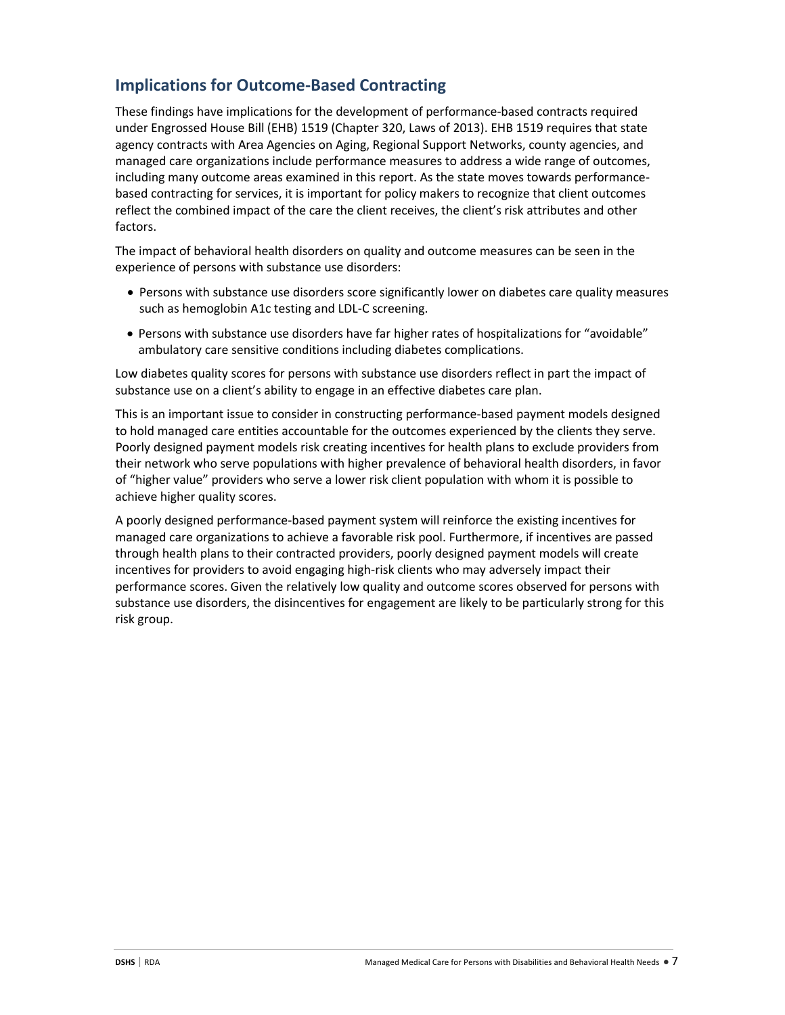# **Implications for Outcome-Based Contracting**

These findings have implications for the development of performance-based contracts required under Engrossed House Bill (EHB) 1519 (Chapter 320, Laws of 2013). EHB 1519 requires that state agency contracts with Area Agencies on Aging, Regional Support Networks, county agencies, and managed care organizations include performance measures to address a wide range of outcomes, including many outcome areas examined in this report. As the state moves towards performancebased contracting for services, it is important for policy makers to recognize that client outcomes reflect the combined impact of the care the client receives, the client's risk attributes and other factors.

The impact of behavioral health disorders on quality and outcome measures can be seen in the experience of persons with substance use disorders:

- Persons with substance use disorders score significantly lower on diabetes care quality measures such as hemoglobin A1c testing and LDL-C screening.
- Persons with substance use disorders have far higher rates of hospitalizations for "avoidable" ambulatory care sensitive conditions including diabetes complications.

Low diabetes quality scores for persons with substance use disorders reflect in part the impact of substance use on a client's ability to engage in an effective diabetes care plan.

This is an important issue to consider in constructing performance-based payment models designed to hold managed care entities accountable for the outcomes experienced by the clients they serve. Poorly designed payment models risk creating incentives for health plans to exclude providers from their network who serve populations with higher prevalence of behavioral health disorders, in favor of "higher value" providers who serve a lower risk client population with whom it is possible to achieve higher quality scores.

A poorly designed performance-based payment system will reinforce the existing incentives for managed care organizations to achieve a favorable risk pool. Furthermore, if incentives are passed through health plans to their contracted providers, poorly designed payment models will create incentives for providers to avoid engaging high-risk clients who may adversely impact their performance scores. Given the relatively low quality and outcome scores observed for persons with substance use disorders, the disincentives for engagement are likely to be particularly strong for this risk group.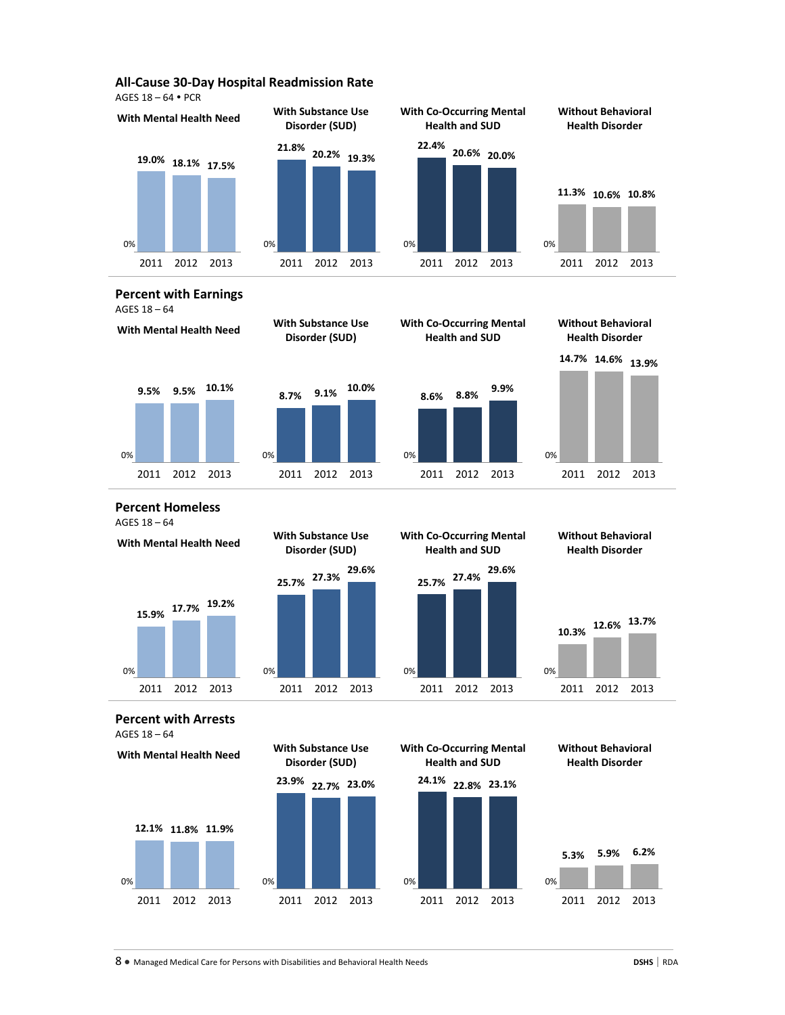#### **All-Cause 30-Day Hospital Readmission Rate**

AGES 18 – 64 PCR



#### **Percent with Earnings**  AGES 18 – 64









**14.7% 14.6% 13.9%**

**Percent Homeless**  AGES 18 – 64

**With Mental Health Need With Substance Use**



**Disorder (SUD) 25.7% 27.3% 29.6%**



**Without Behavioral Health Disorder**



**Percent with Arrests**  AGES 18 – 64





**With Mental Health Need With Substance Use Disorder (SUD)**



**Without Behavioral Health Disorder**



8 ● Managed Medical Care for Persons with Disabilities and Behavioral Health Needs **DSHS** | RDA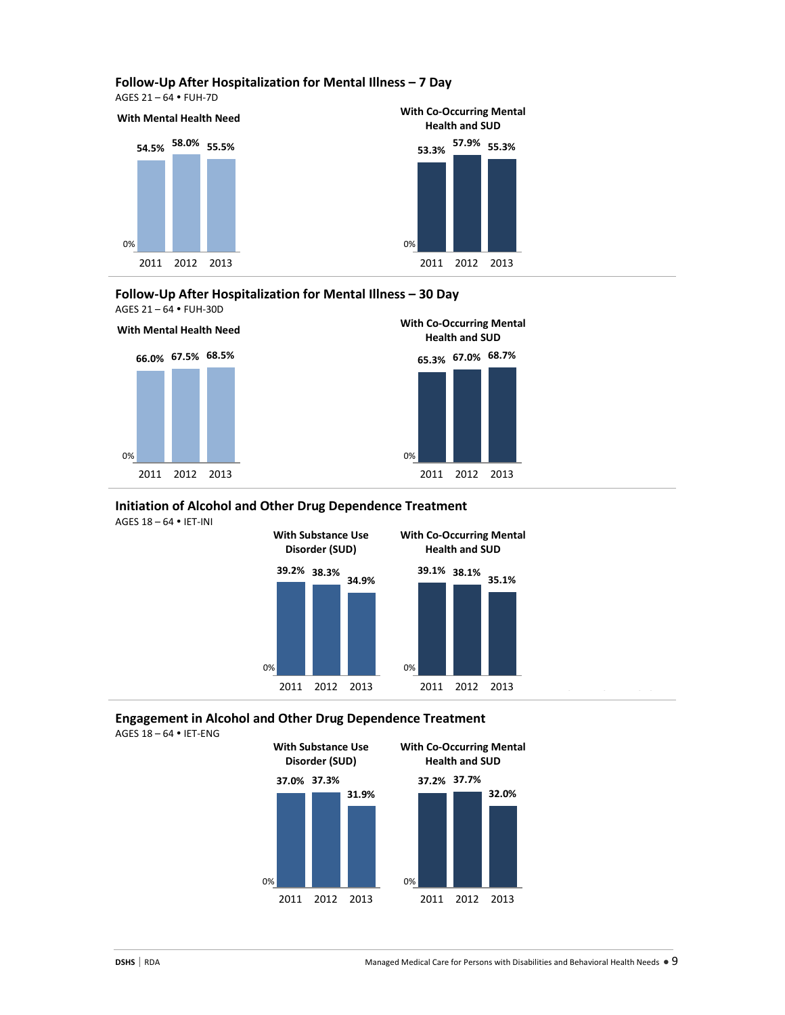#### **Follow-Up After Hospitalization for Mental Illness – 7 Day**

AGES 21 – 64 FUH-7D



#### **Follow-Up After Hospitalization for Mental Illness – 30 Day** AGES 21 – 64 FUH-30D





# **Initiation of Alcohol and Other Drug Dependence Treatment**

AGES 18 – 64 IET-INI



# **Engagement in Alcohol and Other Drug Dependence Treatment**

AGES 18 – 64 IET-ENG

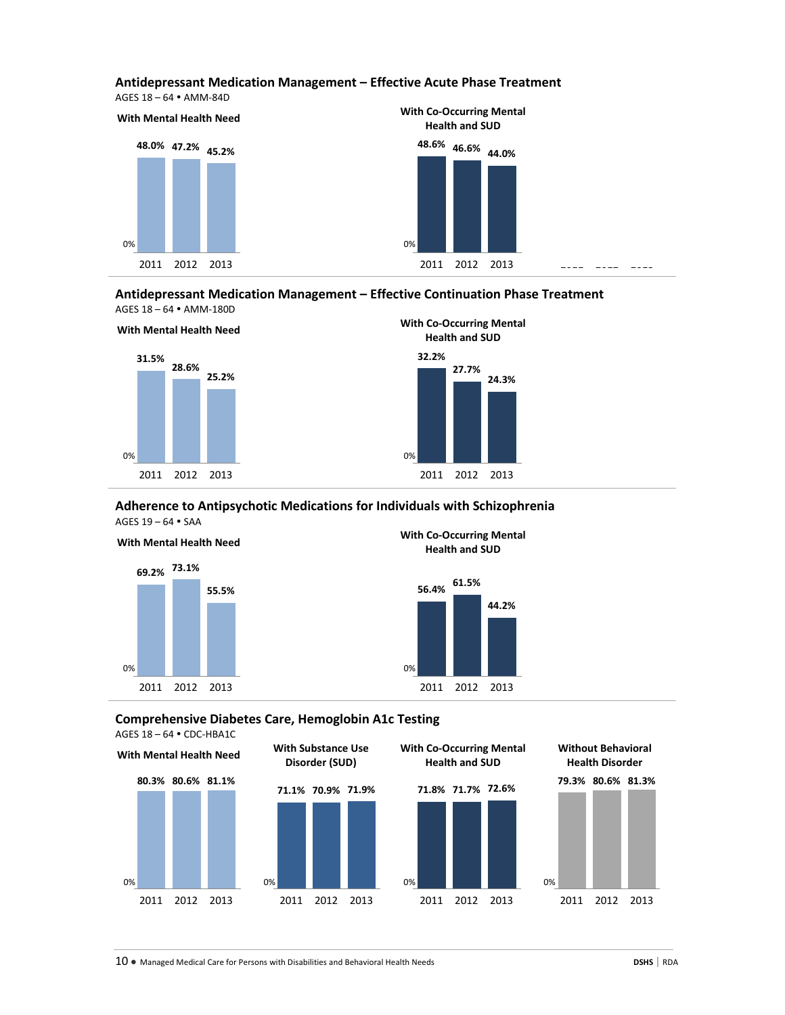#### **Antidepressant Medication Management – Effective Acute Phase Treatment**

AGES 18 – 64 AMM-84D



**Antidepressant Medication Management – Effective Continuation Phase Treatment** AGES 18 – 64 AMM-180D



# **With Mental Health Need With Co-Occurring Mental Health and SUD 32.2% 27.7% 24.3%**

#### **Adherence to Antipsychotic Medications for Individuals with Schizophrenia** AGES 19 – 64 SAA



**With Mental Health Need With Co-Occurring Mental Health and SUD**



**Comprehensive Diabetes Care, Hemoglobin A1c Testing**

AGES 18 – 64 CDC-HBA1C



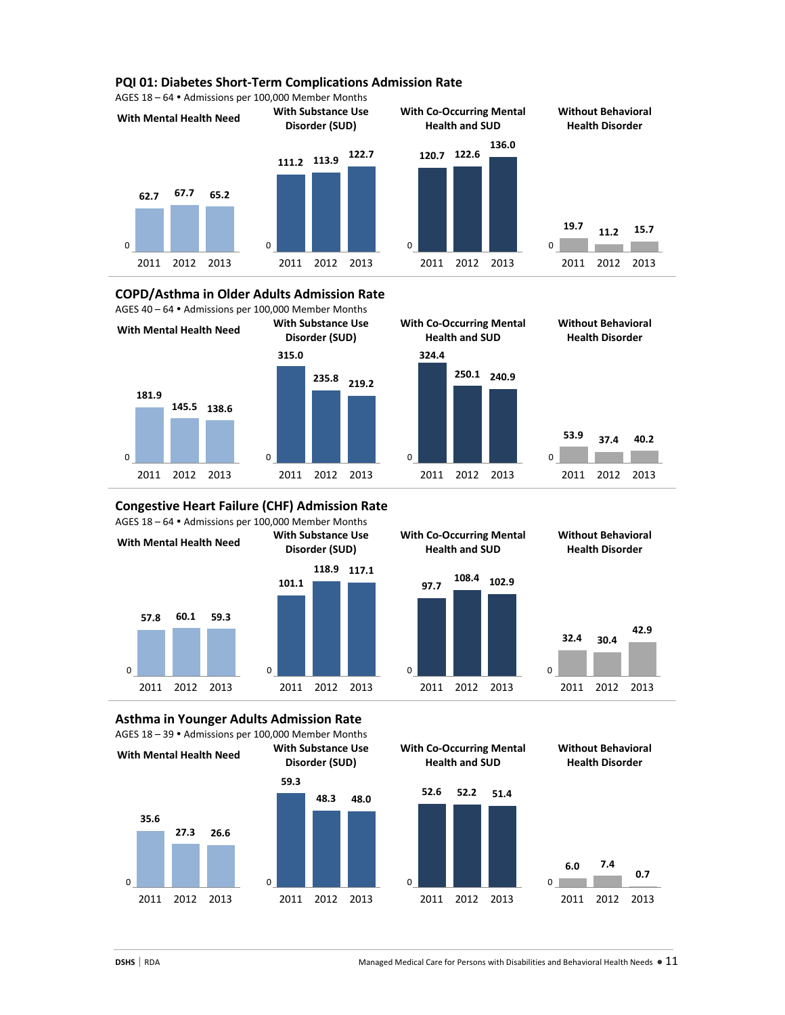#### **PQI 01: Diabetes Short-Term Complications Admission Rate**

AGES 18 – 64 Admissions per 100,000 Member Months



**COPD/Asthma in Older Adults Admission Rate** AGES 40 – 64 Admissions per 100,000 Member Months



**With Co-Occurring Mental Health and SUD Without Behavioral Health Disorder 324.4 250.1 240.9 53.9 37.4 40.2** 2011 2012 2013 2011 2012 2013 2011 2012 2013 2011 2012 2013

**Congestive Heart Failure (CHF) Admission Rate** AGES 18 – 64 Admissions per 100,000 Member Months





**Without Behavioral Health Disorder**



**Asthma in Younger Adults Admission Rate** AGES 18 – 39 Admissions per 100,000 Member Months

**With Mental Health Need With Substance Use**





**Without Behavioral Health Disorder**



**35.6**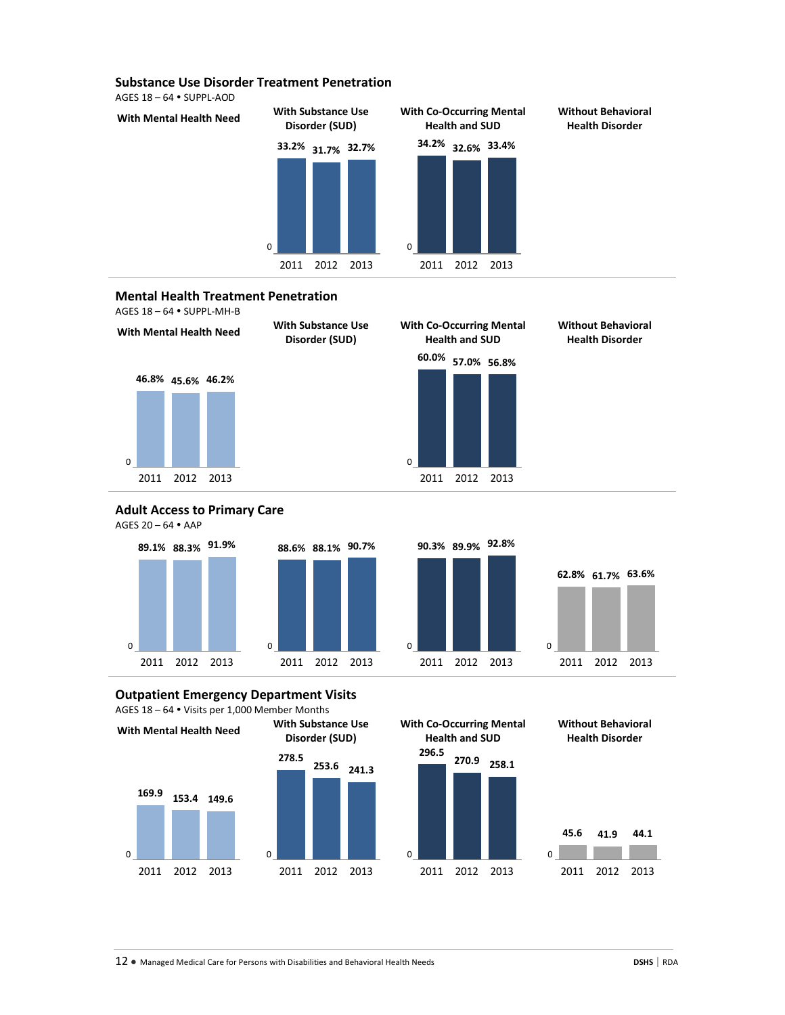#### **Substance Use Disorder Treatment Penetration**

AGES 18 – 64 SUPPL-AOD



#### **Mental Health Treatment Penetration**





#### **Adult Access to Primary Care** AGES 20 – 64 AAP





# **Outpatient Emergency Department Visits**





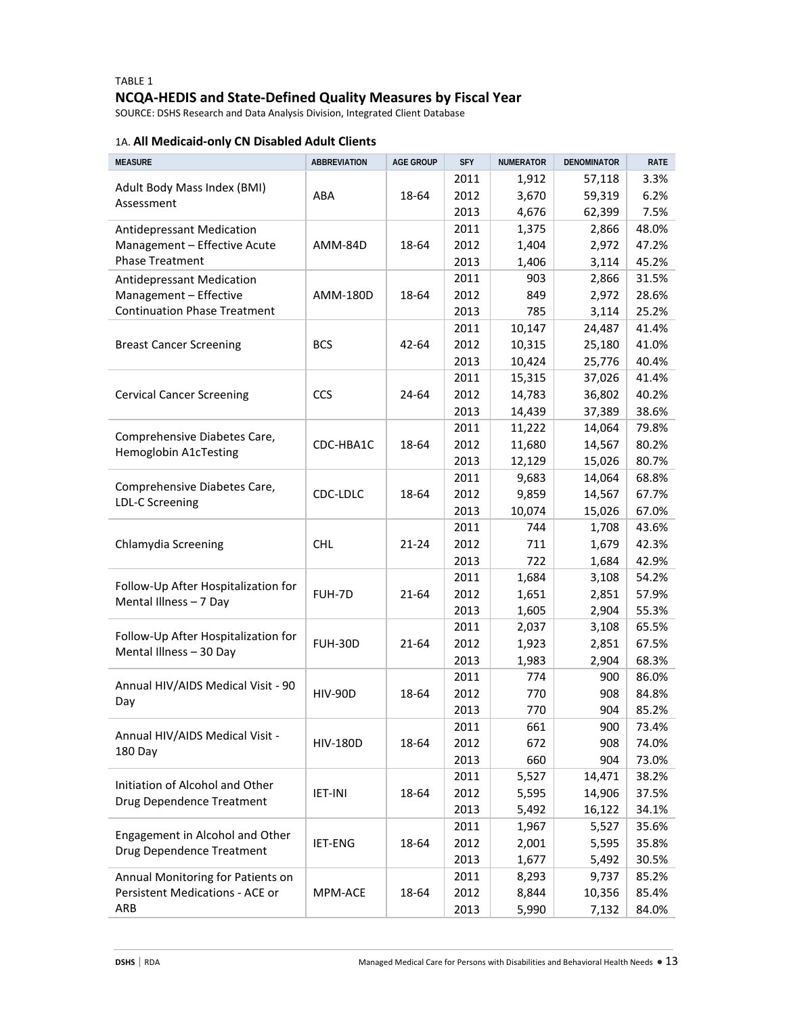# TABLE 1 **NCQA-HEDIS and State-Defined Quality Measures by Fiscal Year**

SOURCE: DSHS Research and Data Analysis Division, Integrated Client Database

# 1A. **All Medicaid-only CN Disabled Adult Clients**

| <b>MEASURE</b>                      | <b>ABBREVIATION</b> | <b>AGE GROUP</b> | <b>SFY</b>   | <b>NUMERATOR</b> | <b>DENOMINATOR</b> | RATE           |
|-------------------------------------|---------------------|------------------|--------------|------------------|--------------------|----------------|
|                                     |                     |                  | 2011         | 1,912            | 57,118             | 3.3%           |
| Adult Body Mass Index (BMI)         | ABA                 | 18-64            | 2012         | 3,670            | 59,319             | 6.2%           |
| Assessment                          |                     |                  | 2013         | 4,676            | 62,399             | 7.5%           |
| Antidepressant Medication           |                     |                  | 2011         | 1,375            | 2,866              | 48.0%          |
| Management - Effective Acute        | AMM-84D             | 18-64            | 2012         | 1,404            | 2,972              | 47.2%          |
| <b>Phase Treatment</b>              |                     |                  | 2013         | 1,406            | 3,114              | 45.2%          |
| <b>Antidepressant Medication</b>    |                     |                  | 2011         | 903              | 2,866              | 31.5%          |
| Management - Effective              | AMM-180D            | 18-64            | 2012         | 849              | 2,972              | 28.6%          |
| <b>Continuation Phase Treatment</b> |                     |                  | 2013         | 785              | 3,114              | 25.2%          |
|                                     |                     |                  | 2011         | 10,147           | 24,487             | 41.4%          |
| <b>Breast Cancer Screening</b>      | <b>BCS</b>          | 42-64            | 2012         | 10,315           | 25,180             | 41.0%          |
|                                     |                     |                  | 2013         | 10,424           | 25,776             | 40.4%          |
|                                     |                     |                  | 2011         | 15,315           | 37,026             | 41.4%          |
| <b>Cervical Cancer Screening</b>    | CCS                 | 24-64            | 2012         | 14,783           | 36,802             | 40.2%          |
|                                     |                     |                  | 2013         | 14,439           | 37,389             | 38.6%          |
|                                     |                     |                  | 2011         | 11,222           | 14,064             | 79.8%          |
| Comprehensive Diabetes Care,        | CDC-HBA1C           | 18-64            | 2012         | 11,680           | 14,567             | 80.2%          |
| Hemoglobin A1cTesting               |                     |                  | 2013         | 12,129           | 15,026             | 80.7%          |
|                                     |                     |                  | 2011         | 9,683            | 14,064             | 68.8%          |
| Comprehensive Diabetes Care,        | CDC-LDLC            | 18-64            | 2012         | 9,859            | 14,567             | 67.7%          |
| LDL-C Screening                     |                     |                  | 2013         | 10,074           | 15,026             | 67.0%          |
|                                     |                     |                  | 2011         | 744              | 1,708              | 43.6%          |
| Chlamydia Screening                 | <b>CHL</b>          | 21-24            | 2012         | 711              | 1,679              | 42.3%          |
|                                     |                     |                  | 2013         | 722              | 1,684              | 42.9%          |
|                                     |                     | 21-64            | 2011         | 1,684            | 3,108              | 54.2%          |
| Follow-Up After Hospitalization for | FUH-7D              |                  | 2012         | 1,651            | 2,851              | 57.9%          |
| Mental Illness - 7 Day              |                     |                  | 2013         | 1,605            | 2,904              | 55.3%          |
|                                     |                     |                  | 2011         | 2,037            | 3,108              | 65.5%          |
| Follow-Up After Hospitalization for | <b>FUH-30D</b>      | 21-64            | 2012         | 1,923            | 2,851              | 67.5%          |
| Mental Illness - 30 Day             |                     |                  | 2013         | 1,983            | 2,904              | 68.3%          |
|                                     |                     |                  | 2011         | 774              | 900                | 86.0%          |
| Annual HIV/AIDS Medical Visit - 90  | <b>HIV-90D</b>      | 18-64            | 2012         | 770              | 908                | 84.8%          |
| Day                                 |                     |                  | 2013         | 770              | 904                | 85.2%          |
|                                     |                     |                  | 2011         | 661              | 900                | 73.4%          |
| Annual HIV/AIDS Medical Visit -     | <b>HIV-180D</b>     | 18-64            | 2012         | 672              | 908                | 74.0%          |
| 180 Day                             |                     |                  | 2013         | 660              | 904                | 73.0%          |
|                                     |                     |                  |              | 5,527            |                    |                |
| Initiation of Alcohol and Other     | <b>IET-INI</b>      | 18-64            | 2011<br>2012 |                  | 14,471<br>14,906   | 38.2%<br>37.5% |
| Drug Dependence Treatment           |                     |                  |              | 5,595            |                    |                |
|                                     |                     |                  | 2013         | 5,492            | 16,122             | 34.1%          |
| Engagement in Alcohol and Other     |                     |                  | 2011         | 1,967            | 5,527              | 35.6%          |
| Drug Dependence Treatment           | IET-ENG             | 18-64            | 2012         | 2,001            | 5,595              | 35.8%          |
|                                     |                     |                  | 2013         | 1,677            | 5,492              | 30.5%          |
| Annual Monitoring for Patients on   |                     |                  | 2011         | 8,293            | 9,737              | 85.2%          |
| Persistent Medications - ACE or     | MPM-ACE             | 18-64            | 2012         | 8,844            | 10,356             | 85.4%          |
| ARB                                 |                     |                  | 2013         | 5,990            | 7,132              | 84.0%          |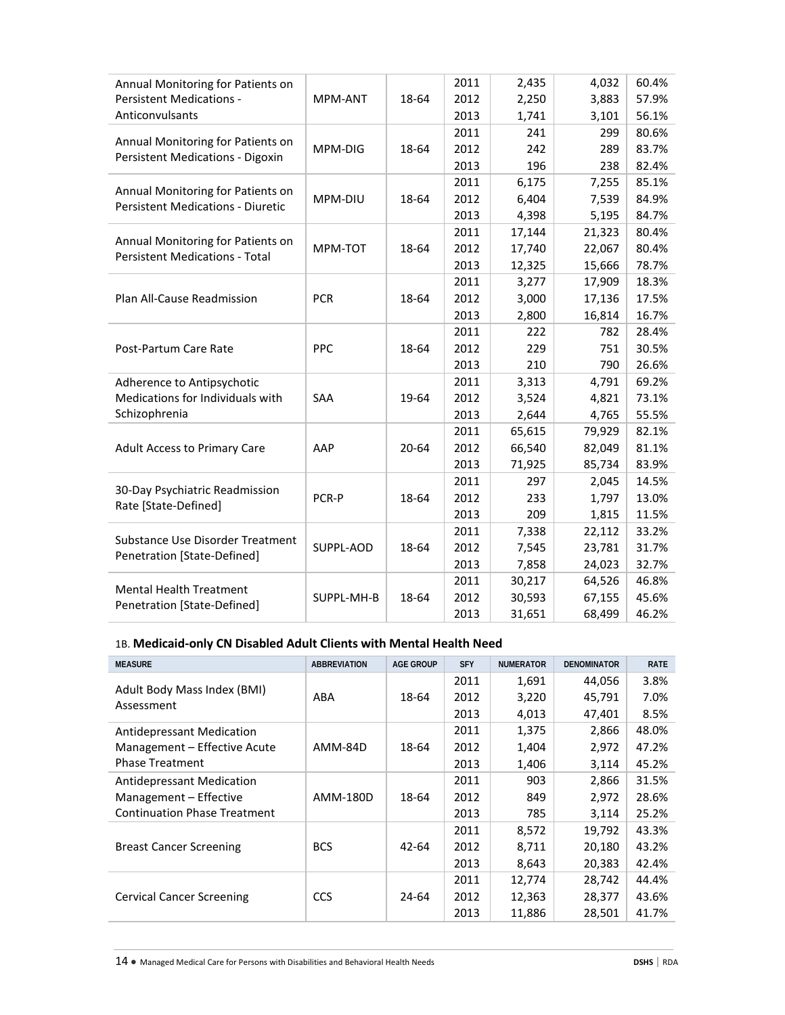| Annual Monitoring for Patients on                                             |            |       | 2011 | 2,435  | 4,032  | 60.4% |
|-------------------------------------------------------------------------------|------------|-------|------|--------|--------|-------|
| <b>Persistent Medications -</b>                                               | MPM-ANT    | 18-64 | 2012 | 2,250  | 3,883  | 57.9% |
| Anticonvulsants                                                               |            |       | 2013 | 1,741  | 3,101  | 56.1% |
|                                                                               |            |       | 2011 | 241    | 299    | 80.6% |
| Annual Monitoring for Patients on<br>Persistent Medications - Digoxin         | MPM-DIG    | 18-64 | 2012 | 242    | 289    | 83.7% |
|                                                                               |            |       | 2013 | 196    | 238    | 82.4% |
|                                                                               |            |       | 2011 | 6,175  | 7,255  | 85.1% |
| Annual Monitoring for Patients on<br><b>Persistent Medications - Diuretic</b> | MPM-DIU    | 18-64 | 2012 | 6,404  | 7,539  | 84.9% |
|                                                                               |            |       | 2013 | 4,398  | 5,195  | 84.7% |
|                                                                               |            |       | 2011 | 17,144 | 21,323 | 80.4% |
| Annual Monitoring for Patients on<br><b>Persistent Medications - Total</b>    | MPM-TOT    | 18-64 | 2012 | 17,740 | 22,067 | 80.4% |
|                                                                               |            |       | 2013 | 12,325 | 15,666 | 78.7% |
|                                                                               |            |       | 2011 | 3,277  | 17,909 | 18.3% |
| Plan All-Cause Readmission                                                    | <b>PCR</b> | 18-64 | 2012 | 3,000  | 17,136 | 17.5% |
|                                                                               |            |       | 2013 | 2,800  | 16,814 | 16.7% |
|                                                                               |            |       | 2011 | 222    | 782    | 28.4% |
| Post-Partum Care Rate                                                         | PPC        | 18-64 | 2012 | 229    | 751    | 30.5% |
|                                                                               |            |       | 2013 | 210    | 790    | 26.6% |
| Adherence to Antipsychotic                                                    |            |       | 2011 | 3,313  | 4,791  | 69.2% |
| Medications for Individuals with                                              | <b>SAA</b> | 19-64 | 2012 | 3,524  | 4,821  | 73.1% |
| Schizophrenia                                                                 |            |       | 2013 | 2,644  | 4,765  | 55.5% |
|                                                                               |            |       | 2011 | 65,615 | 79,929 | 82.1% |
| <b>Adult Access to Primary Care</b>                                           | AAP        | 20-64 | 2012 | 66,540 | 82,049 | 81.1% |
|                                                                               |            |       | 2013 | 71,925 | 85,734 | 83.9% |
| 30-Day Psychiatric Readmission                                                |            |       | 2011 | 297    | 2,045  | 14.5% |
| Rate [State-Defined]                                                          | PCR-P      | 18-64 | 2012 | 233    | 1,797  | 13.0% |
|                                                                               |            |       | 2013 | 209    | 1,815  | 11.5% |
| Substance Use Disorder Treatment                                              |            |       | 2011 | 7,338  | 22,112 | 33.2% |
| Penetration [State-Defined]                                                   | SUPPL-AOD  | 18-64 | 2012 | 7,545  | 23,781 | 31.7% |
|                                                                               |            |       | 2013 | 7,858  | 24,023 | 32.7% |
| <b>Mental Health Treatment</b>                                                |            |       | 2011 | 30,217 | 64,526 | 46.8% |
| Penetration [State-Defined]                                                   | SUPPL-MH-B | 18-64 | 2012 | 30,593 | 67,155 | 45.6% |
|                                                                               |            |       | 2013 | 31,651 | 68,499 | 46.2% |
|                                                                               |            |       |      |        |        |       |

# 1B. **Medicaid-only CN Disabled Adult Clients with Mental Health Need**

| <b>MEASURE</b>                            | <b>ABBREVIATION</b> | <b>AGE GROUP</b> | <b>SFY</b> | <b>NUMERATOR</b> | <b>DENOMINATOR</b> | <b>RATE</b> |
|-------------------------------------------|---------------------|------------------|------------|------------------|--------------------|-------------|
|                                           |                     |                  | 2011       | 1,691            | 44,056             | 3.8%        |
| Adult Body Mass Index (BMI)<br>Assessment | ABA                 | 18-64            | 2012       | 3,220            | 45,791             | 7.0%        |
|                                           |                     |                  | 2013       | 4,013            | 47,401             | 8.5%        |
| Antidepressant Medication                 |                     |                  | 2011       | 1,375            | 2,866              | 48.0%       |
| Management - Effective Acute              | AMM-84D             | 18-64            | 2012       | 1,404            | 2,972              | 47.2%       |
| <b>Phase Treatment</b>                    |                     |                  | 2013       | 1,406            | 3,114              | 45.2%       |
| Antidepressant Medication                 |                     |                  | 2011       | 903              | 2,866              | 31.5%       |
| Management - Effective                    | AMM-180D            | 18-64            | 2012       | 849              | 2,972              | 28.6%       |
| <b>Continuation Phase Treatment</b>       |                     |                  | 2013       | 785              | 3,114              | 25.2%       |
|                                           |                     |                  | 2011       | 8,572            | 19,792             | 43.3%       |
| <b>Breast Cancer Screening</b>            | <b>BCS</b>          | 42-64            | 2012       | 8,711            | 20,180             | 43.2%       |
|                                           |                     |                  | 2013       | 8,643            | 20,383             | 42.4%       |
|                                           |                     |                  | 2011       | 12,774           | 28,742             | 44.4%       |
| <b>Cervical Cancer Screening</b>          | <b>CCS</b>          | 24-64            | 2012       | 12,363           | 28,377             | 43.6%       |
|                                           |                     |                  | 2013       | 11,886           | 28,501             | 41.7%       |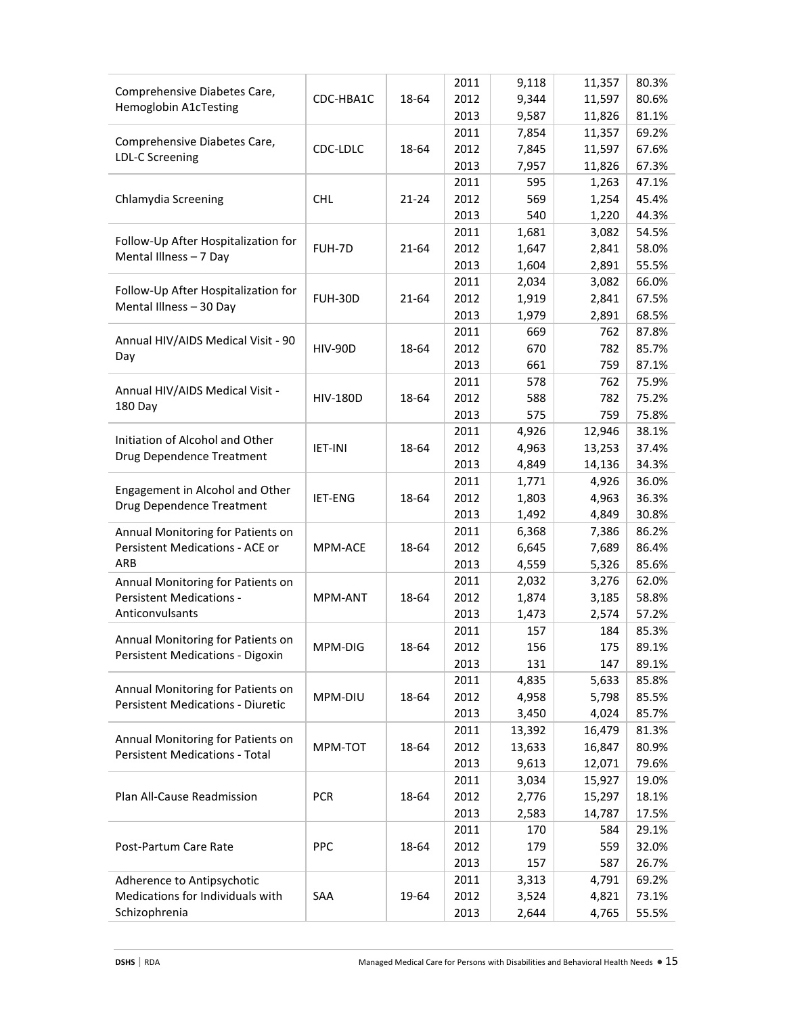| 2013<br>9,587<br>81.1%<br>11,826<br>2011<br>69.2%<br>7,854<br>11,357<br>Comprehensive Diabetes Care,<br>CDC-LDLC<br>18-64<br>2012<br>7,845<br>11,597<br>67.6%<br>LDL-C Screening<br>2013<br>7,957<br>11,826<br>67.3%<br>595<br>2011<br>1,263<br>47.1%<br>Chlamydia Screening<br><b>CHL</b><br>2012<br>569<br>45.4%<br>$21 - 24$<br>1,254<br>2013<br>540<br>44.3%<br>1,220<br>2011<br>1,681<br>3,082<br>54.5%<br>Follow-Up After Hospitalization for<br>FUH-7D<br>21-64<br>2012<br>1,647<br>2,841<br>58.0%<br>Mental Illness - 7 Day<br>2013<br>1,604<br>2,891<br>55.5%<br>2011<br>2,034<br>3,082<br>66.0%<br>Follow-Up After Hospitalization for<br><b>FUH-30D</b><br>2012<br>1,919<br>21-64<br>2,841<br>67.5%<br>Mental Illness - 30 Day<br>2013<br>68.5%<br>1,979<br>2,891<br>2011<br>669<br>87.8%<br>762<br>Annual HIV/AIDS Medical Visit - 90<br><b>HIV-90D</b><br>18-64<br>2012<br>670<br>782<br>85.7%<br>Day<br>2013<br>661<br>759<br>87.1%<br>578<br>2011<br>762<br>75.9%<br>Annual HIV/AIDS Medical Visit -<br>18-64<br>2012<br>588<br>782<br>75.2%<br><b>HIV-180D</b><br>180 Day<br>2013<br>575<br>759<br>75.8%<br>2011<br>4,926<br>38.1%<br>12,946<br>Initiation of Alcohol and Other<br><b>IET-INI</b><br>18-64<br>2012<br>4,963<br>13,253<br>37.4%<br>Drug Dependence Treatment<br>2013<br>4,849<br>14,136<br>34.3%<br>2011<br>1,771<br>4,926<br>36.0%<br>Engagement in Alcohol and Other<br>2012<br>1,803<br>4,963<br>IET-ENG<br>18-64<br>36.3%<br>Drug Dependence Treatment<br>2013<br>1,492<br>4,849<br>30.8%<br>2011<br>6,368<br>86.2%<br>7,386<br>Annual Monitoring for Patients on<br>Persistent Medications - ACE or<br>2012<br>6,645<br>86.4%<br>MPM-ACE<br>18-64<br>7,689<br>ARB<br>2013<br>4,559<br>85.6%<br>5,326<br>2,032<br>2011<br>3,276<br>62.0%<br>Annual Monitoring for Patients on<br><b>Persistent Medications -</b><br>18-64<br>2012<br>1,874<br>MPM-ANT<br>3,185<br>58.8%<br>Anticonvulsants<br>2013<br>1,473<br>57.2%<br>2,574<br>2011<br>85.3%<br>157<br>184<br>Annual Monitoring for Patients on<br>2012<br>89.1%<br>18-64<br>156<br>175<br>MPM-DIG<br>Persistent Medications - Digoxin<br>2013<br>131<br>147<br>89.1%<br>4,835<br>2011<br>5,633<br>85.8%<br>Annual Monitoring for Patients on<br>2012<br>4,958<br>MPM-DIU<br>18-64<br>5,798<br>85.5%<br><b>Persistent Medications - Diuretic</b><br>2013<br>3,450<br>4,024<br>85.7%<br>2011<br>13,392<br>16,479<br>81.3%<br>Annual Monitoring for Patients on<br>MPM-TOT<br>18-64<br>2012<br>13,633<br>16,847<br>80.9%<br><b>Persistent Medications - Total</b><br>2013<br>9,613<br>79.6%<br>12,071<br>3,034<br>2011<br>15,927<br>19.0%<br>Plan All-Cause Readmission<br><b>PCR</b><br>2012<br>2,776<br>15,297<br>18-64<br>18.1%<br>2013<br>2,583<br>14,787<br>17.5%<br>2011<br>170<br>584<br>29.1%<br>PPC<br>2012<br>179<br>32.0%<br>Post-Partum Care Rate<br>18-64<br>559<br>2013<br>157<br>587<br>26.7%<br>2011<br>3,313<br>4,791<br>69.2%<br>Adherence to Antipsychotic<br>Medications for Individuals with<br>SAA<br>2012<br>19-64<br>3,524<br>4,821<br>73.1%<br>Schizophrenia<br>2013<br>4,765<br>2,644<br>55.5% | Comprehensive Diabetes Care, | CDC-HBA1C | 18-64 | 2011<br>2012 | 9,118<br>9,344 | 11,357<br>11,597 | 80.3%<br>80.6% |
|-------------------------------------------------------------------------------------------------------------------------------------------------------------------------------------------------------------------------------------------------------------------------------------------------------------------------------------------------------------------------------------------------------------------------------------------------------------------------------------------------------------------------------------------------------------------------------------------------------------------------------------------------------------------------------------------------------------------------------------------------------------------------------------------------------------------------------------------------------------------------------------------------------------------------------------------------------------------------------------------------------------------------------------------------------------------------------------------------------------------------------------------------------------------------------------------------------------------------------------------------------------------------------------------------------------------------------------------------------------------------------------------------------------------------------------------------------------------------------------------------------------------------------------------------------------------------------------------------------------------------------------------------------------------------------------------------------------------------------------------------------------------------------------------------------------------------------------------------------------------------------------------------------------------------------------------------------------------------------------------------------------------------------------------------------------------------------------------------------------------------------------------------------------------------------------------------------------------------------------------------------------------------------------------------------------------------------------------------------------------------------------------------------------------------------------------------------------------------------------------------------------------------------------------------------------------------------------------------------------------------------------------------------------------------------------------------------------------------------------------------------------------------------------------------------------------------------------------------------------------------------------------------------------------------------------------------------------------------------------------------------------------------------------------------------------------------------------------------------------|------------------------------|-----------|-------|--------------|----------------|------------------|----------------|
|                                                                                                                                                                                                                                                                                                                                                                                                                                                                                                                                                                                                                                                                                                                                                                                                                                                                                                                                                                                                                                                                                                                                                                                                                                                                                                                                                                                                                                                                                                                                                                                                                                                                                                                                                                                                                                                                                                                                                                                                                                                                                                                                                                                                                                                                                                                                                                                                                                                                                                                                                                                                                                                                                                                                                                                                                                                                                                                                                                                                                                                                                                             | Hemoglobin A1cTesting        |           |       |              |                |                  |                |
|                                                                                                                                                                                                                                                                                                                                                                                                                                                                                                                                                                                                                                                                                                                                                                                                                                                                                                                                                                                                                                                                                                                                                                                                                                                                                                                                                                                                                                                                                                                                                                                                                                                                                                                                                                                                                                                                                                                                                                                                                                                                                                                                                                                                                                                                                                                                                                                                                                                                                                                                                                                                                                                                                                                                                                                                                                                                                                                                                                                                                                                                                                             |                              |           |       |              |                |                  |                |
|                                                                                                                                                                                                                                                                                                                                                                                                                                                                                                                                                                                                                                                                                                                                                                                                                                                                                                                                                                                                                                                                                                                                                                                                                                                                                                                                                                                                                                                                                                                                                                                                                                                                                                                                                                                                                                                                                                                                                                                                                                                                                                                                                                                                                                                                                                                                                                                                                                                                                                                                                                                                                                                                                                                                                                                                                                                                                                                                                                                                                                                                                                             |                              |           |       |              |                |                  |                |
|                                                                                                                                                                                                                                                                                                                                                                                                                                                                                                                                                                                                                                                                                                                                                                                                                                                                                                                                                                                                                                                                                                                                                                                                                                                                                                                                                                                                                                                                                                                                                                                                                                                                                                                                                                                                                                                                                                                                                                                                                                                                                                                                                                                                                                                                                                                                                                                                                                                                                                                                                                                                                                                                                                                                                                                                                                                                                                                                                                                                                                                                                                             |                              |           |       |              |                |                  |                |
|                                                                                                                                                                                                                                                                                                                                                                                                                                                                                                                                                                                                                                                                                                                                                                                                                                                                                                                                                                                                                                                                                                                                                                                                                                                                                                                                                                                                                                                                                                                                                                                                                                                                                                                                                                                                                                                                                                                                                                                                                                                                                                                                                                                                                                                                                                                                                                                                                                                                                                                                                                                                                                                                                                                                                                                                                                                                                                                                                                                                                                                                                                             |                              |           |       |              |                |                  |                |
|                                                                                                                                                                                                                                                                                                                                                                                                                                                                                                                                                                                                                                                                                                                                                                                                                                                                                                                                                                                                                                                                                                                                                                                                                                                                                                                                                                                                                                                                                                                                                                                                                                                                                                                                                                                                                                                                                                                                                                                                                                                                                                                                                                                                                                                                                                                                                                                                                                                                                                                                                                                                                                                                                                                                                                                                                                                                                                                                                                                                                                                                                                             |                              |           |       |              |                |                  |                |
|                                                                                                                                                                                                                                                                                                                                                                                                                                                                                                                                                                                                                                                                                                                                                                                                                                                                                                                                                                                                                                                                                                                                                                                                                                                                                                                                                                                                                                                                                                                                                                                                                                                                                                                                                                                                                                                                                                                                                                                                                                                                                                                                                                                                                                                                                                                                                                                                                                                                                                                                                                                                                                                                                                                                                                                                                                                                                                                                                                                                                                                                                                             |                              |           |       |              |                |                  |                |
|                                                                                                                                                                                                                                                                                                                                                                                                                                                                                                                                                                                                                                                                                                                                                                                                                                                                                                                                                                                                                                                                                                                                                                                                                                                                                                                                                                                                                                                                                                                                                                                                                                                                                                                                                                                                                                                                                                                                                                                                                                                                                                                                                                                                                                                                                                                                                                                                                                                                                                                                                                                                                                                                                                                                                                                                                                                                                                                                                                                                                                                                                                             |                              |           |       |              |                |                  |                |
|                                                                                                                                                                                                                                                                                                                                                                                                                                                                                                                                                                                                                                                                                                                                                                                                                                                                                                                                                                                                                                                                                                                                                                                                                                                                                                                                                                                                                                                                                                                                                                                                                                                                                                                                                                                                                                                                                                                                                                                                                                                                                                                                                                                                                                                                                                                                                                                                                                                                                                                                                                                                                                                                                                                                                                                                                                                                                                                                                                                                                                                                                                             |                              |           |       |              |                |                  |                |
|                                                                                                                                                                                                                                                                                                                                                                                                                                                                                                                                                                                                                                                                                                                                                                                                                                                                                                                                                                                                                                                                                                                                                                                                                                                                                                                                                                                                                                                                                                                                                                                                                                                                                                                                                                                                                                                                                                                                                                                                                                                                                                                                                                                                                                                                                                                                                                                                                                                                                                                                                                                                                                                                                                                                                                                                                                                                                                                                                                                                                                                                                                             |                              |           |       |              |                |                  |                |
|                                                                                                                                                                                                                                                                                                                                                                                                                                                                                                                                                                                                                                                                                                                                                                                                                                                                                                                                                                                                                                                                                                                                                                                                                                                                                                                                                                                                                                                                                                                                                                                                                                                                                                                                                                                                                                                                                                                                                                                                                                                                                                                                                                                                                                                                                                                                                                                                                                                                                                                                                                                                                                                                                                                                                                                                                                                                                                                                                                                                                                                                                                             |                              |           |       |              |                |                  |                |
|                                                                                                                                                                                                                                                                                                                                                                                                                                                                                                                                                                                                                                                                                                                                                                                                                                                                                                                                                                                                                                                                                                                                                                                                                                                                                                                                                                                                                                                                                                                                                                                                                                                                                                                                                                                                                                                                                                                                                                                                                                                                                                                                                                                                                                                                                                                                                                                                                                                                                                                                                                                                                                                                                                                                                                                                                                                                                                                                                                                                                                                                                                             |                              |           |       |              |                |                  |                |
|                                                                                                                                                                                                                                                                                                                                                                                                                                                                                                                                                                                                                                                                                                                                                                                                                                                                                                                                                                                                                                                                                                                                                                                                                                                                                                                                                                                                                                                                                                                                                                                                                                                                                                                                                                                                                                                                                                                                                                                                                                                                                                                                                                                                                                                                                                                                                                                                                                                                                                                                                                                                                                                                                                                                                                                                                                                                                                                                                                                                                                                                                                             |                              |           |       |              |                |                  |                |
|                                                                                                                                                                                                                                                                                                                                                                                                                                                                                                                                                                                                                                                                                                                                                                                                                                                                                                                                                                                                                                                                                                                                                                                                                                                                                                                                                                                                                                                                                                                                                                                                                                                                                                                                                                                                                                                                                                                                                                                                                                                                                                                                                                                                                                                                                                                                                                                                                                                                                                                                                                                                                                                                                                                                                                                                                                                                                                                                                                                                                                                                                                             |                              |           |       |              |                |                  |                |
|                                                                                                                                                                                                                                                                                                                                                                                                                                                                                                                                                                                                                                                                                                                                                                                                                                                                                                                                                                                                                                                                                                                                                                                                                                                                                                                                                                                                                                                                                                                                                                                                                                                                                                                                                                                                                                                                                                                                                                                                                                                                                                                                                                                                                                                                                                                                                                                                                                                                                                                                                                                                                                                                                                                                                                                                                                                                                                                                                                                                                                                                                                             |                              |           |       |              |                |                  |                |
|                                                                                                                                                                                                                                                                                                                                                                                                                                                                                                                                                                                                                                                                                                                                                                                                                                                                                                                                                                                                                                                                                                                                                                                                                                                                                                                                                                                                                                                                                                                                                                                                                                                                                                                                                                                                                                                                                                                                                                                                                                                                                                                                                                                                                                                                                                                                                                                                                                                                                                                                                                                                                                                                                                                                                                                                                                                                                                                                                                                                                                                                                                             |                              |           |       |              |                |                  |                |
|                                                                                                                                                                                                                                                                                                                                                                                                                                                                                                                                                                                                                                                                                                                                                                                                                                                                                                                                                                                                                                                                                                                                                                                                                                                                                                                                                                                                                                                                                                                                                                                                                                                                                                                                                                                                                                                                                                                                                                                                                                                                                                                                                                                                                                                                                                                                                                                                                                                                                                                                                                                                                                                                                                                                                                                                                                                                                                                                                                                                                                                                                                             |                              |           |       |              |                |                  |                |
|                                                                                                                                                                                                                                                                                                                                                                                                                                                                                                                                                                                                                                                                                                                                                                                                                                                                                                                                                                                                                                                                                                                                                                                                                                                                                                                                                                                                                                                                                                                                                                                                                                                                                                                                                                                                                                                                                                                                                                                                                                                                                                                                                                                                                                                                                                                                                                                                                                                                                                                                                                                                                                                                                                                                                                                                                                                                                                                                                                                                                                                                                                             |                              |           |       |              |                |                  |                |
|                                                                                                                                                                                                                                                                                                                                                                                                                                                                                                                                                                                                                                                                                                                                                                                                                                                                                                                                                                                                                                                                                                                                                                                                                                                                                                                                                                                                                                                                                                                                                                                                                                                                                                                                                                                                                                                                                                                                                                                                                                                                                                                                                                                                                                                                                                                                                                                                                                                                                                                                                                                                                                                                                                                                                                                                                                                                                                                                                                                                                                                                                                             |                              |           |       |              |                |                  |                |
|                                                                                                                                                                                                                                                                                                                                                                                                                                                                                                                                                                                                                                                                                                                                                                                                                                                                                                                                                                                                                                                                                                                                                                                                                                                                                                                                                                                                                                                                                                                                                                                                                                                                                                                                                                                                                                                                                                                                                                                                                                                                                                                                                                                                                                                                                                                                                                                                                                                                                                                                                                                                                                                                                                                                                                                                                                                                                                                                                                                                                                                                                                             |                              |           |       |              |                |                  |                |
|                                                                                                                                                                                                                                                                                                                                                                                                                                                                                                                                                                                                                                                                                                                                                                                                                                                                                                                                                                                                                                                                                                                                                                                                                                                                                                                                                                                                                                                                                                                                                                                                                                                                                                                                                                                                                                                                                                                                                                                                                                                                                                                                                                                                                                                                                                                                                                                                                                                                                                                                                                                                                                                                                                                                                                                                                                                                                                                                                                                                                                                                                                             |                              |           |       |              |                |                  |                |
|                                                                                                                                                                                                                                                                                                                                                                                                                                                                                                                                                                                                                                                                                                                                                                                                                                                                                                                                                                                                                                                                                                                                                                                                                                                                                                                                                                                                                                                                                                                                                                                                                                                                                                                                                                                                                                                                                                                                                                                                                                                                                                                                                                                                                                                                                                                                                                                                                                                                                                                                                                                                                                                                                                                                                                                                                                                                                                                                                                                                                                                                                                             |                              |           |       |              |                |                  |                |
|                                                                                                                                                                                                                                                                                                                                                                                                                                                                                                                                                                                                                                                                                                                                                                                                                                                                                                                                                                                                                                                                                                                                                                                                                                                                                                                                                                                                                                                                                                                                                                                                                                                                                                                                                                                                                                                                                                                                                                                                                                                                                                                                                                                                                                                                                                                                                                                                                                                                                                                                                                                                                                                                                                                                                                                                                                                                                                                                                                                                                                                                                                             |                              |           |       |              |                |                  |                |
|                                                                                                                                                                                                                                                                                                                                                                                                                                                                                                                                                                                                                                                                                                                                                                                                                                                                                                                                                                                                                                                                                                                                                                                                                                                                                                                                                                                                                                                                                                                                                                                                                                                                                                                                                                                                                                                                                                                                                                                                                                                                                                                                                                                                                                                                                                                                                                                                                                                                                                                                                                                                                                                                                                                                                                                                                                                                                                                                                                                                                                                                                                             |                              |           |       |              |                |                  |                |
|                                                                                                                                                                                                                                                                                                                                                                                                                                                                                                                                                                                                                                                                                                                                                                                                                                                                                                                                                                                                                                                                                                                                                                                                                                                                                                                                                                                                                                                                                                                                                                                                                                                                                                                                                                                                                                                                                                                                                                                                                                                                                                                                                                                                                                                                                                                                                                                                                                                                                                                                                                                                                                                                                                                                                                                                                                                                                                                                                                                                                                                                                                             |                              |           |       |              |                |                  |                |
|                                                                                                                                                                                                                                                                                                                                                                                                                                                                                                                                                                                                                                                                                                                                                                                                                                                                                                                                                                                                                                                                                                                                                                                                                                                                                                                                                                                                                                                                                                                                                                                                                                                                                                                                                                                                                                                                                                                                                                                                                                                                                                                                                                                                                                                                                                                                                                                                                                                                                                                                                                                                                                                                                                                                                                                                                                                                                                                                                                                                                                                                                                             |                              |           |       |              |                |                  |                |
|                                                                                                                                                                                                                                                                                                                                                                                                                                                                                                                                                                                                                                                                                                                                                                                                                                                                                                                                                                                                                                                                                                                                                                                                                                                                                                                                                                                                                                                                                                                                                                                                                                                                                                                                                                                                                                                                                                                                                                                                                                                                                                                                                                                                                                                                                                                                                                                                                                                                                                                                                                                                                                                                                                                                                                                                                                                                                                                                                                                                                                                                                                             |                              |           |       |              |                |                  |                |
|                                                                                                                                                                                                                                                                                                                                                                                                                                                                                                                                                                                                                                                                                                                                                                                                                                                                                                                                                                                                                                                                                                                                                                                                                                                                                                                                                                                                                                                                                                                                                                                                                                                                                                                                                                                                                                                                                                                                                                                                                                                                                                                                                                                                                                                                                                                                                                                                                                                                                                                                                                                                                                                                                                                                                                                                                                                                                                                                                                                                                                                                                                             |                              |           |       |              |                |                  |                |
|                                                                                                                                                                                                                                                                                                                                                                                                                                                                                                                                                                                                                                                                                                                                                                                                                                                                                                                                                                                                                                                                                                                                                                                                                                                                                                                                                                                                                                                                                                                                                                                                                                                                                                                                                                                                                                                                                                                                                                                                                                                                                                                                                                                                                                                                                                                                                                                                                                                                                                                                                                                                                                                                                                                                                                                                                                                                                                                                                                                                                                                                                                             |                              |           |       |              |                |                  |                |
|                                                                                                                                                                                                                                                                                                                                                                                                                                                                                                                                                                                                                                                                                                                                                                                                                                                                                                                                                                                                                                                                                                                                                                                                                                                                                                                                                                                                                                                                                                                                                                                                                                                                                                                                                                                                                                                                                                                                                                                                                                                                                                                                                                                                                                                                                                                                                                                                                                                                                                                                                                                                                                                                                                                                                                                                                                                                                                                                                                                                                                                                                                             |                              |           |       |              |                |                  |                |
|                                                                                                                                                                                                                                                                                                                                                                                                                                                                                                                                                                                                                                                                                                                                                                                                                                                                                                                                                                                                                                                                                                                                                                                                                                                                                                                                                                                                                                                                                                                                                                                                                                                                                                                                                                                                                                                                                                                                                                                                                                                                                                                                                                                                                                                                                                                                                                                                                                                                                                                                                                                                                                                                                                                                                                                                                                                                                                                                                                                                                                                                                                             |                              |           |       |              |                |                  |                |
|                                                                                                                                                                                                                                                                                                                                                                                                                                                                                                                                                                                                                                                                                                                                                                                                                                                                                                                                                                                                                                                                                                                                                                                                                                                                                                                                                                                                                                                                                                                                                                                                                                                                                                                                                                                                                                                                                                                                                                                                                                                                                                                                                                                                                                                                                                                                                                                                                                                                                                                                                                                                                                                                                                                                                                                                                                                                                                                                                                                                                                                                                                             |                              |           |       |              |                |                  |                |
|                                                                                                                                                                                                                                                                                                                                                                                                                                                                                                                                                                                                                                                                                                                                                                                                                                                                                                                                                                                                                                                                                                                                                                                                                                                                                                                                                                                                                                                                                                                                                                                                                                                                                                                                                                                                                                                                                                                                                                                                                                                                                                                                                                                                                                                                                                                                                                                                                                                                                                                                                                                                                                                                                                                                                                                                                                                                                                                                                                                                                                                                                                             |                              |           |       |              |                |                  |                |
|                                                                                                                                                                                                                                                                                                                                                                                                                                                                                                                                                                                                                                                                                                                                                                                                                                                                                                                                                                                                                                                                                                                                                                                                                                                                                                                                                                                                                                                                                                                                                                                                                                                                                                                                                                                                                                                                                                                                                                                                                                                                                                                                                                                                                                                                                                                                                                                                                                                                                                                                                                                                                                                                                                                                                                                                                                                                                                                                                                                                                                                                                                             |                              |           |       |              |                |                  |                |
|                                                                                                                                                                                                                                                                                                                                                                                                                                                                                                                                                                                                                                                                                                                                                                                                                                                                                                                                                                                                                                                                                                                                                                                                                                                                                                                                                                                                                                                                                                                                                                                                                                                                                                                                                                                                                                                                                                                                                                                                                                                                                                                                                                                                                                                                                                                                                                                                                                                                                                                                                                                                                                                                                                                                                                                                                                                                                                                                                                                                                                                                                                             |                              |           |       |              |                |                  |                |
|                                                                                                                                                                                                                                                                                                                                                                                                                                                                                                                                                                                                                                                                                                                                                                                                                                                                                                                                                                                                                                                                                                                                                                                                                                                                                                                                                                                                                                                                                                                                                                                                                                                                                                                                                                                                                                                                                                                                                                                                                                                                                                                                                                                                                                                                                                                                                                                                                                                                                                                                                                                                                                                                                                                                                                                                                                                                                                                                                                                                                                                                                                             |                              |           |       |              |                |                  |                |
|                                                                                                                                                                                                                                                                                                                                                                                                                                                                                                                                                                                                                                                                                                                                                                                                                                                                                                                                                                                                                                                                                                                                                                                                                                                                                                                                                                                                                                                                                                                                                                                                                                                                                                                                                                                                                                                                                                                                                                                                                                                                                                                                                                                                                                                                                                                                                                                                                                                                                                                                                                                                                                                                                                                                                                                                                                                                                                                                                                                                                                                                                                             |                              |           |       |              |                |                  |                |
|                                                                                                                                                                                                                                                                                                                                                                                                                                                                                                                                                                                                                                                                                                                                                                                                                                                                                                                                                                                                                                                                                                                                                                                                                                                                                                                                                                                                                                                                                                                                                                                                                                                                                                                                                                                                                                                                                                                                                                                                                                                                                                                                                                                                                                                                                                                                                                                                                                                                                                                                                                                                                                                                                                                                                                                                                                                                                                                                                                                                                                                                                                             |                              |           |       |              |                |                  |                |
|                                                                                                                                                                                                                                                                                                                                                                                                                                                                                                                                                                                                                                                                                                                                                                                                                                                                                                                                                                                                                                                                                                                                                                                                                                                                                                                                                                                                                                                                                                                                                                                                                                                                                                                                                                                                                                                                                                                                                                                                                                                                                                                                                                                                                                                                                                                                                                                                                                                                                                                                                                                                                                                                                                                                                                                                                                                                                                                                                                                                                                                                                                             |                              |           |       |              |                |                  |                |
|                                                                                                                                                                                                                                                                                                                                                                                                                                                                                                                                                                                                                                                                                                                                                                                                                                                                                                                                                                                                                                                                                                                                                                                                                                                                                                                                                                                                                                                                                                                                                                                                                                                                                                                                                                                                                                                                                                                                                                                                                                                                                                                                                                                                                                                                                                                                                                                                                                                                                                                                                                                                                                                                                                                                                                                                                                                                                                                                                                                                                                                                                                             |                              |           |       |              |                |                  |                |
|                                                                                                                                                                                                                                                                                                                                                                                                                                                                                                                                                                                                                                                                                                                                                                                                                                                                                                                                                                                                                                                                                                                                                                                                                                                                                                                                                                                                                                                                                                                                                                                                                                                                                                                                                                                                                                                                                                                                                                                                                                                                                                                                                                                                                                                                                                                                                                                                                                                                                                                                                                                                                                                                                                                                                                                                                                                                                                                                                                                                                                                                                                             |                              |           |       |              |                |                  |                |
|                                                                                                                                                                                                                                                                                                                                                                                                                                                                                                                                                                                                                                                                                                                                                                                                                                                                                                                                                                                                                                                                                                                                                                                                                                                                                                                                                                                                                                                                                                                                                                                                                                                                                                                                                                                                                                                                                                                                                                                                                                                                                                                                                                                                                                                                                                                                                                                                                                                                                                                                                                                                                                                                                                                                                                                                                                                                                                                                                                                                                                                                                                             |                              |           |       |              |                |                  |                |
|                                                                                                                                                                                                                                                                                                                                                                                                                                                                                                                                                                                                                                                                                                                                                                                                                                                                                                                                                                                                                                                                                                                                                                                                                                                                                                                                                                                                                                                                                                                                                                                                                                                                                                                                                                                                                                                                                                                                                                                                                                                                                                                                                                                                                                                                                                                                                                                                                                                                                                                                                                                                                                                                                                                                                                                                                                                                                                                                                                                                                                                                                                             |                              |           |       |              |                |                  |                |
|                                                                                                                                                                                                                                                                                                                                                                                                                                                                                                                                                                                                                                                                                                                                                                                                                                                                                                                                                                                                                                                                                                                                                                                                                                                                                                                                                                                                                                                                                                                                                                                                                                                                                                                                                                                                                                                                                                                                                                                                                                                                                                                                                                                                                                                                                                                                                                                                                                                                                                                                                                                                                                                                                                                                                                                                                                                                                                                                                                                                                                                                                                             |                              |           |       |              |                |                  |                |
|                                                                                                                                                                                                                                                                                                                                                                                                                                                                                                                                                                                                                                                                                                                                                                                                                                                                                                                                                                                                                                                                                                                                                                                                                                                                                                                                                                                                                                                                                                                                                                                                                                                                                                                                                                                                                                                                                                                                                                                                                                                                                                                                                                                                                                                                                                                                                                                                                                                                                                                                                                                                                                                                                                                                                                                                                                                                                                                                                                                                                                                                                                             |                              |           |       |              |                |                  |                |
|                                                                                                                                                                                                                                                                                                                                                                                                                                                                                                                                                                                                                                                                                                                                                                                                                                                                                                                                                                                                                                                                                                                                                                                                                                                                                                                                                                                                                                                                                                                                                                                                                                                                                                                                                                                                                                                                                                                                                                                                                                                                                                                                                                                                                                                                                                                                                                                                                                                                                                                                                                                                                                                                                                                                                                                                                                                                                                                                                                                                                                                                                                             |                              |           |       |              |                |                  |                |
|                                                                                                                                                                                                                                                                                                                                                                                                                                                                                                                                                                                                                                                                                                                                                                                                                                                                                                                                                                                                                                                                                                                                                                                                                                                                                                                                                                                                                                                                                                                                                                                                                                                                                                                                                                                                                                                                                                                                                                                                                                                                                                                                                                                                                                                                                                                                                                                                                                                                                                                                                                                                                                                                                                                                                                                                                                                                                                                                                                                                                                                                                                             |                              |           |       |              |                |                  |                |
|                                                                                                                                                                                                                                                                                                                                                                                                                                                                                                                                                                                                                                                                                                                                                                                                                                                                                                                                                                                                                                                                                                                                                                                                                                                                                                                                                                                                                                                                                                                                                                                                                                                                                                                                                                                                                                                                                                                                                                                                                                                                                                                                                                                                                                                                                                                                                                                                                                                                                                                                                                                                                                                                                                                                                                                                                                                                                                                                                                                                                                                                                                             |                              |           |       |              |                |                  |                |
|                                                                                                                                                                                                                                                                                                                                                                                                                                                                                                                                                                                                                                                                                                                                                                                                                                                                                                                                                                                                                                                                                                                                                                                                                                                                                                                                                                                                                                                                                                                                                                                                                                                                                                                                                                                                                                                                                                                                                                                                                                                                                                                                                                                                                                                                                                                                                                                                                                                                                                                                                                                                                                                                                                                                                                                                                                                                                                                                                                                                                                                                                                             |                              |           |       |              |                |                  |                |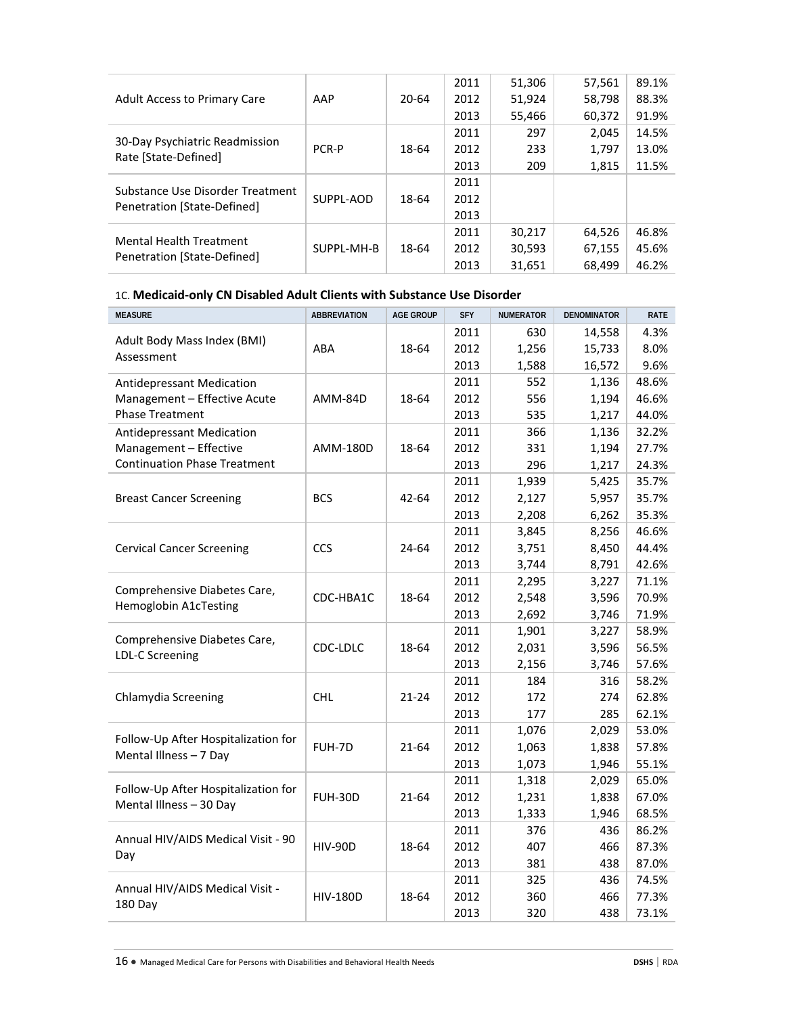|                                                                 |            |       | 2011 | 51,306 | 57,561 | 89.1% |
|-----------------------------------------------------------------|------------|-------|------|--------|--------|-------|
| Adult Access to Primary Care                                    | AAP        | 20-64 | 2012 | 51,924 | 58,798 | 88.3% |
|                                                                 |            |       | 2013 | 55,466 | 60,372 | 91.9% |
| 30-Day Psychiatric Readmission<br>Rate [State-Defined]          |            |       | 2011 | 297    | 2,045  | 14.5% |
|                                                                 | PCR-P      | 18-64 | 2012 | 233    | 1,797  | 13.0% |
|                                                                 |            |       | 2013 | 209    | 1,815  | 11.5% |
|                                                                 |            |       | 2011 |        |        |       |
| Substance Use Disorder Treatment<br>Penetration [State-Defined] | SUPPL-AOD  | 18-64 | 2012 |        |        |       |
|                                                                 |            |       | 2013 |        |        |       |
|                                                                 |            |       | 2011 | 30,217 | 64,526 | 46.8% |
| <b>Mental Health Treatment</b><br>Penetration [State-Defined]   | SUPPL-MH-B | 18-64 | 2012 | 30,593 | 67,155 | 45.6% |
|                                                                 |            |       | 2013 | 31,651 | 68.499 | 46.2% |

# 1C. **Medicaid-only CN Disabled Adult Clients with Substance Use Disorder**

| <b>MEASURE</b>                                        | <b>ABBREVIATION</b> | <b>AGE GROUP</b> | <b>SFY</b> | <b>NUMERATOR</b> | <b>DENOMINATOR</b> | <b>RATE</b> |
|-------------------------------------------------------|---------------------|------------------|------------|------------------|--------------------|-------------|
| Adult Body Mass Index (BMI)                           |                     |                  | 2011       | 630              | 14,558             | 4.3%        |
| Assessment                                            | ABA                 | 18-64            | 2012       | 1,256            | 15,733             | 8.0%        |
|                                                       |                     |                  | 2013       | 1,588            | 16,572             | 9.6%        |
| <b>Antidepressant Medication</b>                      |                     |                  | 2011       | 552              | 1,136              | 48.6%       |
| Management - Effective Acute                          | AMM-84D             | 18-64            | 2012       | 556              | 1,194              | 46.6%       |
| <b>Phase Treatment</b>                                |                     |                  | 2013       | 535              | 1,217              | 44.0%       |
| <b>Antidepressant Medication</b>                      |                     |                  | 2011       | 366              | 1,136              | 32.2%       |
| Management - Effective                                | AMM-180D            | 18-64            | 2012       | 331              | 1,194              | 27.7%       |
| <b>Continuation Phase Treatment</b>                   |                     |                  | 2013       | 296              | 1,217              | 24.3%       |
|                                                       |                     |                  | 2011       | 1,939            | 5,425              | 35.7%       |
| <b>Breast Cancer Screening</b>                        | <b>BCS</b>          | 42-64            | 2012       | 2,127            | 5,957              | 35.7%       |
|                                                       |                     |                  | 2013       | 2,208            | 6,262              | 35.3%       |
|                                                       |                     |                  | 2011       | 3,845            | 8,256              | 46.6%       |
| <b>Cervical Cancer Screening</b>                      | <b>CCS</b>          | 24-64            | 2012       | 3,751            | 8,450              | 44.4%       |
|                                                       |                     |                  | 2013       | 3,744            | 8,791              | 42.6%       |
| Comprehensive Diabetes Care,<br>Hemoglobin A1cTesting |                     |                  | 2011       | 2,295            | 3,227              | 71.1%       |
|                                                       | CDC-HBA1C           | 18-64            | 2012       | 2,548            | 3,596              | 70.9%       |
|                                                       |                     |                  | 2013       | 2,692            | 3,746              | 71.9%       |
| Comprehensive Diabetes Care,                          |                     |                  | 2011       | 1,901            | 3,227              | 58.9%       |
| <b>LDL-C Screening</b>                                | CDC-LDLC            | 18-64            | 2012       | 2,031            | 3,596              | 56.5%       |
|                                                       |                     |                  | 2013       | 2,156            | 3,746              | 57.6%       |
|                                                       |                     |                  | 2011       | 184              | 316                | 58.2%       |
| Chlamydia Screening                                   | <b>CHL</b>          | $21 - 24$        | 2012       | 172              | 274                | 62.8%       |
|                                                       |                     |                  | 2013       | 177              | 285                | 62.1%       |
| Follow-Up After Hospitalization for                   |                     |                  | 2011       | 1,076            | 2,029              | 53.0%       |
| Mental Illness - 7 Day                                | FUH-7D              | 21-64            | 2012       | 1,063            | 1,838              | 57.8%       |
|                                                       |                     |                  | 2013       | 1,073            | 1,946              | 55.1%       |
| Follow-Up After Hospitalization for                   |                     |                  | 2011       | 1,318            | 2,029              | 65.0%       |
| Mental Illness - 30 Day                               | <b>FUH-30D</b>      | $21 - 64$        | 2012       | 1,231            | 1,838              | 67.0%       |
|                                                       |                     |                  | 2013       | 1,333            | 1,946              | 68.5%       |
| Annual HIV/AIDS Medical Visit - 90                    |                     |                  | 2011       | 376              | 436                | 86.2%       |
| Day                                                   | <b>HIV-90D</b>      | 18-64            | 2012       | 407              | 466                | 87.3%       |
|                                                       |                     |                  | 2013       | 381              | 438                | 87.0%       |
| Annual HIV/AIDS Medical Visit -                       |                     |                  | 2011       | 325              | 436                | 74.5%       |
| 180 Day                                               | <b>HIV-180D</b>     | 18-64            | 2012       | 360              | 466                | 77.3%       |
|                                                       |                     |                  | 2013       | 320              | 438                | 73.1%       |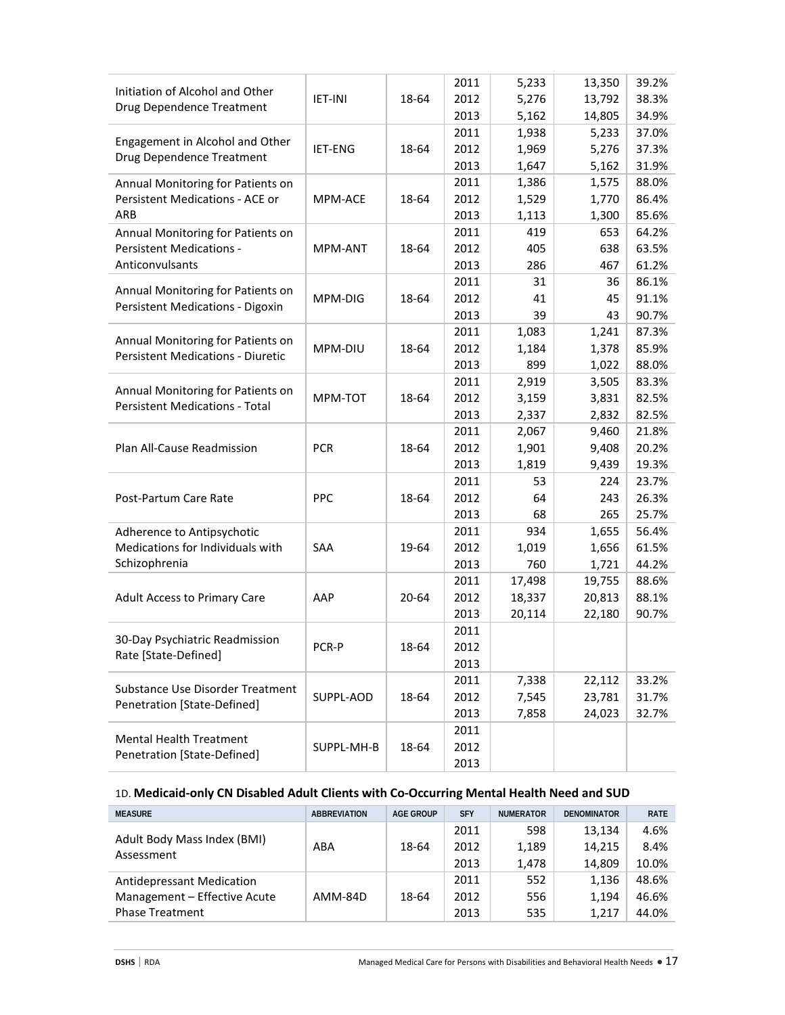|                                          |                |       | 2011         | 5,233          | 13,350         | 39.2%          |
|------------------------------------------|----------------|-------|--------------|----------------|----------------|----------------|
| Initiation of Alcohol and Other          | <b>IET-INI</b> | 18-64 | 2012         | 5,276          | 13,792         | 38.3%          |
| Drug Dependence Treatment                |                |       | 2013         | 5,162          | 14,805         | 34.9%          |
|                                          |                |       | 2011         | 1,938          | 5,233          | 37.0%          |
| Engagement in Alcohol and Other          | IET-ENG        | 18-64 | 2012         | 1,969          | 5,276          | 37.3%          |
| Drug Dependence Treatment                |                |       | 2013         |                |                | 31.9%          |
|                                          |                |       | 2011         | 1,647          | 5,162          | 88.0%          |
| Annual Monitoring for Patients on        |                |       |              | 1,386          | 1,575          |                |
| Persistent Medications - ACE or<br>ARB   | MPM-ACE        | 18-64 | 2012<br>2013 | 1,529<br>1,113 | 1,770<br>1,300 | 86.4%<br>85.6% |
| Annual Monitoring for Patients on        |                |       | 2011         | 419            | 653            | 64.2%          |
| <b>Persistent Medications -</b>          | <b>MPM-ANT</b> | 18-64 | 2012         | 405            | 638            | 63.5%          |
| Anticonvulsants                          |                |       | 2013         | 286            | 467            | 61.2%          |
|                                          |                |       |              |                |                |                |
| Annual Monitoring for Patients on        |                |       | 2011         | 31             | 36             | 86.1%          |
| Persistent Medications - Digoxin         | MPM-DIG        | 18-64 | 2012         | 41             | 45             | 91.1%          |
|                                          |                |       | 2013         | 39             | 43             | 90.7%          |
| Annual Monitoring for Patients on        |                |       | 2011         | 1,083          | 1,241          | 87.3%          |
| <b>Persistent Medications - Diuretic</b> | MPM-DIU        | 18-64 | 2012         | 1,184          | 1,378          | 85.9%          |
|                                          |                |       | 2013         | 899            | 1,022          | 88.0%          |
| Annual Monitoring for Patients on        |                |       | 2011         | 2,919          | 3,505          | 83.3%          |
| <b>Persistent Medications - Total</b>    | MPM-TOT        | 18-64 | 2012         | 3,159          | 3,831          | 82.5%          |
|                                          |                |       | 2013         | 2,337          | 2,832          | 82.5%          |
|                                          |                |       | 2011         | 2,067          | 9,460          | 21.8%          |
| Plan All-Cause Readmission               | <b>PCR</b>     | 18-64 | 2012         | 1,901          | 9,408          | 20.2%          |
|                                          |                |       | 2013         | 1,819          | 9,439          | 19.3%          |
|                                          |                |       | 2011         | 53             | 224            | 23.7%          |
| Post-Partum Care Rate                    | PPC            | 18-64 | 2012         | 64             | 243            | 26.3%          |
|                                          |                |       | 2013         | 68             | 265            | 25.7%          |
| Adherence to Antipsychotic               |                |       | 2011         | 934            | 1,655          | 56.4%          |
| Medications for Individuals with         | SAA            | 19-64 | 2012         | 1,019          | 1,656          | 61.5%          |
| Schizophrenia                            |                |       | 2013         | 760            | 1,721          | 44.2%          |
|                                          |                |       | 2011         | 17,498         | 19,755         | 88.6%          |
| <b>Adult Access to Primary Care</b>      | AAP            | 20-64 | 2012         | 18,337         | 20,813         | 88.1%          |
|                                          |                |       | 2013         | 20,114         | 22,180         | 90.7%          |
|                                          |                |       | 2011         |                |                |                |
| 30-Day Psychiatric Readmission           | PCR-P          | 18-64 | 2012         |                |                |                |
| Rate [State-Defined]                     |                |       | 2013         |                |                |                |
|                                          |                |       | 2011         | 7,338          | 22,112         | 33.2%          |
| Substance Use Disorder Treatment         | SUPPL-AOD      | 18-64 | 2012         | 7,545          | 23,781         | 31.7%          |
| Penetration [State-Defined]              |                |       | 2013         | 7,858          | 24,023         | 32.7%          |
|                                          |                |       | 2011         |                |                |                |
| <b>Mental Health Treatment</b>           | SUPPL-MH-B     | 18-64 | 2012         |                |                |                |
| Penetration [State-Defined]              |                |       | 2013         |                |                |                |

# 1D. **Medicaid-only CN Disabled Adult Clients with Co-Occurring Mental Health Need and SUD**

| <b>MEASURE</b>                            | <b>ABBREVIATION</b> | <b>AGE GROUP</b> | <b>SFY</b> | <b>NUMERATOR</b> | <b>DENOMINATOR</b> | <b>RATE</b> |
|-------------------------------------------|---------------------|------------------|------------|------------------|--------------------|-------------|
| Adult Body Mass Index (BMI)<br>Assessment |                     |                  | 2011       | 598              | 13,134             | 4.6%        |
|                                           | ABA                 | 18-64            | 2012       | 1,189            | 14,215             | 8.4%        |
|                                           |                     |                  | 2013       | 1.478            | 14,809             | 10.0%       |
| Antidepressant Medication                 |                     |                  | 2011       | 552              | 1.136              | 48.6%       |
| Management - Effective Acute              | AMM-84D             | 18-64            | 2012       | 556              | 1.194              | 46.6%       |
| <b>Phase Treatment</b>                    |                     |                  | 2013       | 535              | 1.217              | 44.0%       |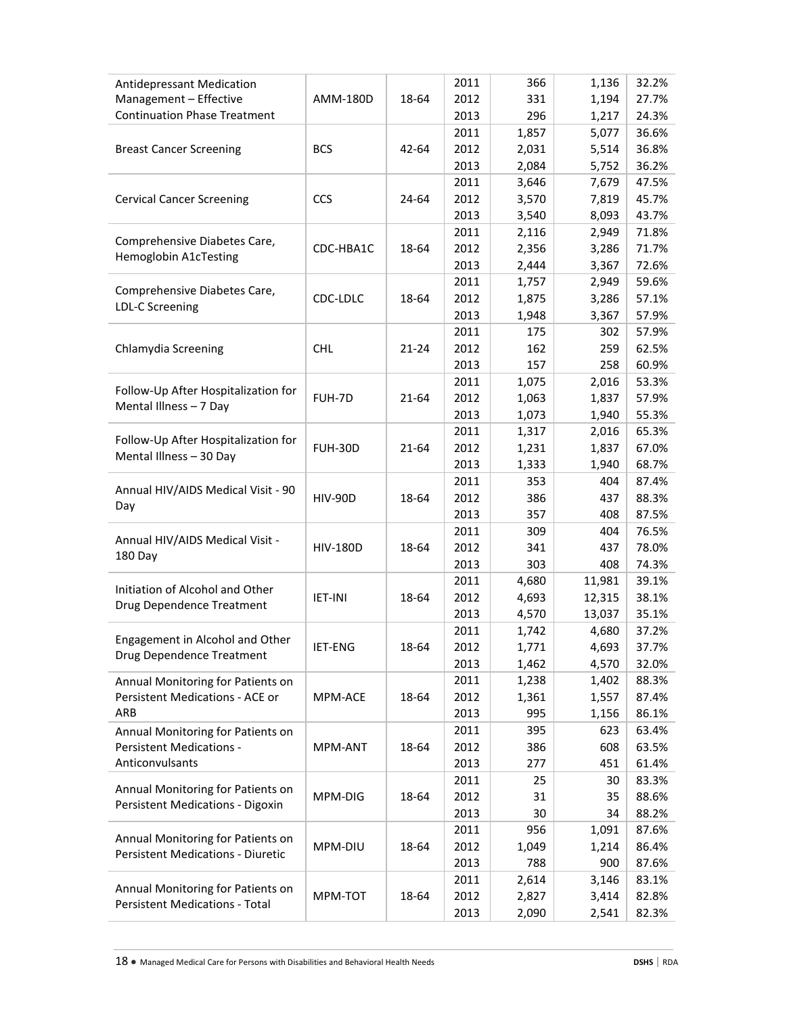| Antidepressant Medication<br>Management - Effective          | AMM-180D        | 18-64     | 2011<br>2012 | 366<br>331     | 1,136<br>1,194 | 32.2%<br>27.7% |
|--------------------------------------------------------------|-----------------|-----------|--------------|----------------|----------------|----------------|
| <b>Continuation Phase Treatment</b>                          |                 |           | 2013<br>2011 | 296<br>1,857   | 1,217<br>5,077 | 24.3%<br>36.6% |
| <b>Breast Cancer Screening</b>                               | <b>BCS</b>      | 42-64     | 2012         | 2,031          | 5,514          | 36.8%          |
|                                                              |                 |           | 2013         | 2,084          | 5,752          | 36.2%          |
|                                                              |                 |           | 2011         | 3,646          | 7,679          | 47.5%          |
| <b>Cervical Cancer Screening</b>                             | CCS             | 24-64     | 2012         | 3,570          | 7,819          | 45.7%          |
|                                                              |                 |           | 2013         | 3,540          | 8,093          | 43.7%          |
| Comprehensive Diabetes Care,                                 |                 |           | 2011         | 2,116          | 2,949          | 71.8%          |
| Hemoglobin A1cTesting                                        | CDC-HBA1C       | 18-64     | 2012         | 2,356          | 3,286          | 71.7%          |
|                                                              |                 |           | 2013         | 2,444          | 3,367          | 72.6%          |
| Comprehensive Diabetes Care,                                 |                 |           | 2011         | 1,757          | 2,949          | 59.6%          |
| <b>LDL-C Screening</b>                                       | CDC-LDLC        | 18-64     | 2012         | 1,875          | 3,286          | 57.1%          |
|                                                              |                 |           | 2013         | 1,948          | 3,367          | 57.9%          |
|                                                              |                 |           | 2011         | 175            | 302            | 57.9%          |
| Chlamydia Screening                                          | <b>CHL</b>      | $21 - 24$ | 2012         | 162            | 259            | 62.5%          |
|                                                              |                 |           | 2013         | 157            | 258            | 60.9%          |
| Follow-Up After Hospitalization for                          | FUH-7D          | 21-64     | 2011<br>2012 | 1,075<br>1,063 | 2,016<br>1,837 | 53.3%<br>57.9% |
| Mental Illness - 7 Day                                       |                 |           | 2013         | 1,073          | 1,940          | 55.3%          |
|                                                              |                 |           | 2011         | 1,317          | 2,016          | 65.3%          |
| Follow-Up After Hospitalization for                          | <b>FUH-30D</b>  | 21-64     | 2012         | 1,231          | 1,837          | 67.0%          |
| Mental Illness - 30 Day                                      |                 |           | 2013         | 1,333          | 1,940          | 68.7%          |
|                                                              |                 |           | 2011         | 353            | 404            | 87.4%          |
| Annual HIV/AIDS Medical Visit - 90                           | <b>HIV-90D</b>  | 18-64     | 2012         | 386            | 437            | 88.3%          |
| Day                                                          |                 |           | 2013         | 357            | 408            | 87.5%          |
|                                                              |                 |           | 2011         | 309            | 404            | 76.5%          |
| Annual HIV/AIDS Medical Visit -                              | <b>HIV-180D</b> | 18-64     | 2012         | 341            | 437            | 78.0%          |
| 180 Day                                                      |                 |           | 2013         | 303            | 408            | 74.3%          |
|                                                              |                 |           | 2011         | 4,680          | 11,981         | 39.1%          |
| Initiation of Alcohol and Other                              | <b>IET-INI</b>  | 18-64     | 2012         | 4,693          | 12,315         | 38.1%          |
| Drug Dependence Treatment                                    |                 |           | 2013         | 4,570          | 13,037         | 35.1%          |
|                                                              |                 |           | 2011         | 1,742          | 4,680          | 37.2%          |
| Engagement in Alcohol and Other<br>Drug Dependence Treatment | IET-ENG         | 18-64     | 2012         | 1,771          | 4,693          | 37.7%          |
|                                                              |                 |           | 2013         | 1,462          | 4,570          | 32.0%          |
| Annual Monitoring for Patients on                            |                 |           | 2011         | 1,238          | 1,402          | 88.3%          |
| Persistent Medications - ACE or                              | MPM-ACE         | 18-64     | 2012         | 1,361          | 1,557          | 87.4%          |
| ARB                                                          |                 |           | 2013         | 995            | 1,156          | 86.1%          |
| Annual Monitoring for Patients on                            |                 |           | 2011         | 395            | 623            | 63.4%          |
| Persistent Medications -                                     | MPM-ANT         | 18-64     | 2012         | 386            | 608            | 63.5%          |
| Anticonvulsants                                              |                 |           | 2013         | 277            | 451            | 61.4%          |
| Annual Monitoring for Patients on                            |                 |           | 2011         | 25             | 30             | 83.3%          |
| <b>Persistent Medications - Digoxin</b>                      | MPM-DIG         | 18-64     | 2012         | 31             | 35             | 88.6%          |
|                                                              |                 |           | 2013         | 30             | 34             | 88.2%          |
| Annual Monitoring for Patients on                            | MPM-DIU         | 18-64     | 2011<br>2012 | 956<br>1,049   | 1,091<br>1,214 | 87.6%<br>86.4% |
| <b>Persistent Medications - Diuretic</b>                     |                 |           | 2013         | 788            | 900            | 87.6%          |
|                                                              |                 |           | 2011         | 2,614          | 3,146          | 83.1%          |
| Annual Monitoring for Patients on                            | MPM-TOT         | 18-64     | 2012         | 2,827          | 3,414          | 82.8%          |
| <b>Persistent Medications - Total</b>                        |                 |           | 2013         | 2,090          | 2,541          | 82.3%          |
|                                                              |                 |           |              |                |                |                |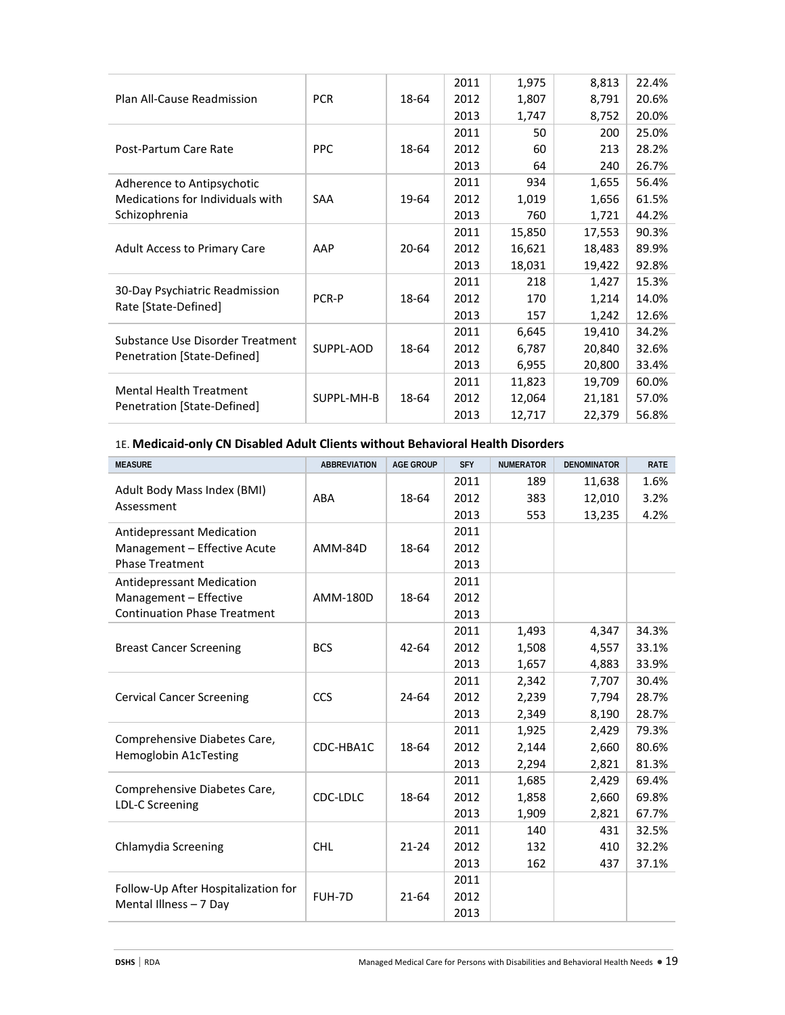|                                                               |            |           | 2011 | 1,975  | 8,813  | 22.4% |
|---------------------------------------------------------------|------------|-----------|------|--------|--------|-------|
| Plan All-Cause Readmission                                    | <b>PCR</b> | 18-64     | 2012 | 1,807  | 8,791  | 20.6% |
|                                                               |            |           | 2013 | 1,747  | 8,752  | 20.0% |
|                                                               |            |           | 2011 | 50     | 200    | 25.0% |
| Post-Partum Care Rate                                         | <b>PPC</b> | 18-64     | 2012 | 60     | 213    | 28.2% |
|                                                               |            |           | 2013 | 64     | 240    | 26.7% |
| Adherence to Antipsychotic                                    |            |           | 2011 | 934    | 1,655  | 56.4% |
| Medications for Individuals with                              | <b>SAA</b> | 19-64     | 2012 | 1,019  | 1,656  | 61.5% |
| Schizophrenia                                                 |            |           | 2013 | 760    | 1,721  | 44.2% |
|                                                               |            |           | 2011 | 15,850 | 17,553 | 90.3% |
| <b>Adult Access to Primary Care</b>                           | AAP        | $20 - 64$ | 2012 | 16,621 | 18,483 | 89.9% |
|                                                               |            |           | 2013 | 18,031 | 19,422 | 92.8% |
|                                                               |            |           | 2011 | 218    | 1,427  | 15.3% |
| 30-Day Psychiatric Readmission<br>Rate [State-Defined]        | PCR-P      | 18-64     | 2012 | 170    | 1,214  | 14.0% |
|                                                               |            |           | 2013 | 157    | 1,242  | 12.6% |
| Substance Use Disorder Treatment                              |            |           | 2011 | 6,645  | 19,410 | 34.2% |
| Penetration [State-Defined]                                   | SUPPL-AOD  | 18-64     | 2012 | 6,787  | 20,840 | 32.6% |
|                                                               |            |           | 2013 | 6,955  | 20,800 | 33.4% |
|                                                               |            |           | 2011 | 11,823 | 19,709 | 60.0% |
| <b>Mental Health Treatment</b><br>Penetration [State-Defined] | SUPPL-MH-B | 18-64     | 2012 | 12,064 | 21,181 | 57.0% |
|                                                               |            |           | 2013 | 12,717 | 22,379 | 56.8% |

# 1E. **Medicaid-only CN Disabled Adult Clients without Behavioral Health Disorders**

| <b>MEASURE</b>                                         | <b>ABBREVIATION</b> | <b>AGE GROUP</b> | <b>SFY</b> | <b>NUMERATOR</b> | <b>DENOMINATOR</b> | <b>RATE</b> |
|--------------------------------------------------------|---------------------|------------------|------------|------------------|--------------------|-------------|
|                                                        |                     |                  | 2011       | 189              | 11,638             | 1.6%        |
| Adult Body Mass Index (BMI)<br>Assessment              | ABA                 | 18-64            | 2012       | 383              | 12,010             | 3.2%        |
|                                                        |                     |                  | 2013       | 553              | 13,235             | 4.2%        |
| <b>Antidepressant Medication</b>                       |                     |                  | 2011       |                  |                    |             |
| Management - Effective Acute                           | AMM-84D             | 18-64            | 2012       |                  |                    |             |
| <b>Phase Treatment</b>                                 |                     |                  | 2013       |                  |                    |             |
| <b>Antidepressant Medication</b>                       |                     |                  | 2011       |                  |                    |             |
| Management - Effective                                 | AMM-180D            | 18-64            | 2012       |                  |                    |             |
| <b>Continuation Phase Treatment</b>                    |                     |                  | 2013       |                  |                    |             |
| <b>Breast Cancer Screening</b>                         |                     |                  | 2011       | 1,493            | 4,347              | 34.3%       |
|                                                        | <b>BCS</b>          | $42 - 64$        | 2012       | 1,508            | 4,557              | 33.1%       |
|                                                        |                     |                  | 2013       | 1,657            | 4,883              | 33.9%       |
|                                                        |                     |                  | 2011       | 2,342            | 7,707              | 30.4%       |
| <b>Cervical Cancer Screening</b>                       | <b>CCS</b>          | 24-64            | 2012       | 2,239            | 7,794              | 28.7%       |
|                                                        |                     |                  | 2013       | 2,349            | 8,190              | 28.7%       |
| Comprehensive Diabetes Care,                           |                     |                  | 2011       | 1,925            | 2,429              | 79.3%       |
| <b>Hemoglobin A1cTesting</b>                           | CDC-HBA1C           | 18-64            | 2012       | 2,144            | 2,660              | 80.6%       |
|                                                        |                     |                  | 2013       | 2,294            | 2,821              | 81.3%       |
|                                                        |                     |                  | 2011       | 1,685            | 2,429              | 69.4%       |
| Comprehensive Diabetes Care,<br><b>LDL-C Screening</b> | CDC-LDLC            | 18-64            | 2012       | 1,858            | 2,660              | 69.8%       |
|                                                        |                     |                  | 2013       | 1,909            | 2,821              | 67.7%       |
|                                                        |                     |                  | 2011       | 140              | 431                | 32.5%       |
| Chlamydia Screening                                    | <b>CHL</b>          | $21 - 24$        | 2012       | 132              | 410                | 32.2%       |
|                                                        |                     |                  | 2013       | 162              | 437                | 37.1%       |
|                                                        |                     |                  | 2011       |                  |                    |             |
| Follow-Up After Hospitalization for                    | FUH-7D              | 21-64            | 2012       |                  |                    |             |
| Mental Illness - 7 Day                                 |                     |                  | 2013       |                  |                    |             |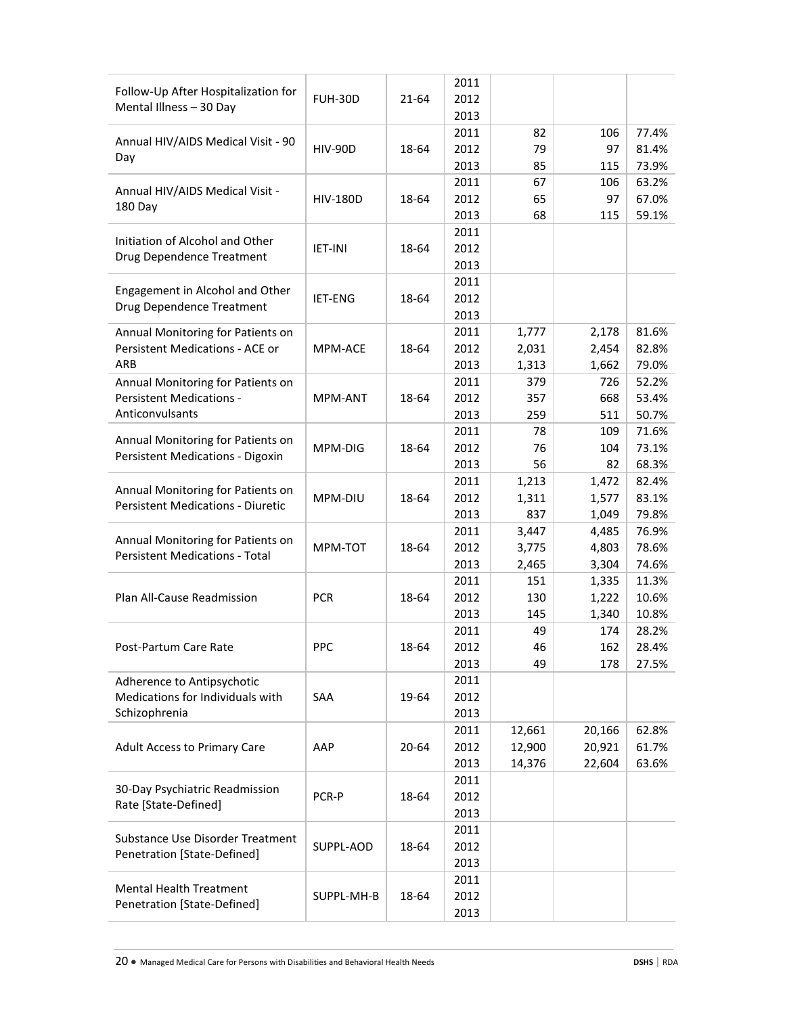| Follow-Up After Hospitalization for      |                 |       | 2011 |        |        |       |
|------------------------------------------|-----------------|-------|------|--------|--------|-------|
| Mental Illness - 30 Day                  | <b>FUH-30D</b>  | 21-64 | 2012 |        |        |       |
|                                          |                 |       | 2013 |        |        |       |
| Annual HIV/AIDS Medical Visit - 90       |                 |       | 2011 | 82     | 106    | 77.4% |
| Day                                      | <b>HIV-90D</b>  | 18-64 | 2012 | 79     | 97     | 81.4% |
|                                          |                 |       | 2013 | 85     | 115    | 73.9% |
| Annual HIV/AIDS Medical Visit -          |                 |       | 2011 | 67     | 106    | 63.2% |
| 180 Day                                  | <b>HIV-180D</b> | 18-64 | 2012 | 65     | 97     | 67.0% |
|                                          |                 |       | 2013 | 68     | 115    | 59.1% |
| Initiation of Alcohol and Other          |                 |       | 2011 |        |        |       |
| Drug Dependence Treatment                | <b>IET-INI</b>  | 18-64 | 2012 |        |        |       |
|                                          |                 |       | 2013 |        |        |       |
| Engagement in Alcohol and Other          |                 |       | 2011 |        |        |       |
| Drug Dependence Treatment                | <b>IET-ENG</b>  | 18-64 | 2012 |        |        |       |
|                                          |                 |       | 2013 |        |        |       |
| Annual Monitoring for Patients on        |                 |       | 2011 | 1,777  | 2,178  | 81.6% |
| Persistent Medications - ACE or          | MPM-ACE         | 18-64 | 2012 | 2,031  | 2,454  | 82.8% |
| ARB                                      |                 |       | 2013 | 1,313  | 1,662  | 79.0% |
| Annual Monitoring for Patients on        |                 |       | 2011 | 379    | 726    | 52.2% |
| <b>Persistent Medications -</b>          | MPM-ANT         | 18-64 | 2012 | 357    | 668    | 53.4% |
| Anticonvulsants                          |                 |       | 2013 | 259    | 511    | 50.7% |
|                                          |                 |       | 2011 | 78     | 109    | 71.6% |
| Annual Monitoring for Patients on        | MPM-DIG         | 18-64 | 2012 | 76     | 104    | 73.1% |
| Persistent Medications - Digoxin         |                 |       | 2013 | 56     | 82     | 68.3% |
|                                          |                 |       | 2011 | 1,213  | 1,472  | 82.4% |
| Annual Monitoring for Patients on        | MPM-DIU         | 18-64 | 2012 | 1,311  | 1,577  | 83.1% |
| <b>Persistent Medications - Diuretic</b> |                 | 2013  | 837  | 1,049  | 79.8%  |       |
|                                          |                 |       | 2011 | 3,447  | 4,485  | 76.9% |
| Annual Monitoring for Patients on        | MPM-TOT         | 18-64 | 2012 | 3,775  | 4,803  | 78.6% |
| <b>Persistent Medications - Total</b>    |                 |       | 2013 | 2,465  | 3,304  | 74.6% |
|                                          |                 |       | 2011 | 151    | 1,335  | 11.3% |
| Plan All-Cause Readmission               | <b>PCR</b>      | 18-64 | 2012 | 130    | 1,222  | 10.6% |
|                                          |                 |       | 2013 | 145    | 1,340  | 10.8% |
|                                          |                 |       | 2011 | 49     | 174    | 28.2% |
| Post-Partum Care Rate                    | PPC             | 18-64 | 2012 | 46     | 162    | 28.4% |
|                                          |                 |       | 2013 | 49     | 178    | 27.5% |
| Adherence to Antipsychotic               |                 |       | 2011 |        |        |       |
| Medications for Individuals with         | SAA             | 19-64 | 2012 |        |        |       |
| Schizophrenia                            |                 |       | 2013 |        |        |       |
|                                          |                 |       | 2011 | 12,661 | 20,166 | 62.8% |
| <b>Adult Access to Primary Care</b>      | AAP             | 20-64 | 2012 | 12,900 | 20,921 | 61.7% |
|                                          |                 |       | 2013 | 14,376 | 22,604 | 63.6% |
|                                          |                 |       | 2011 |        |        |       |
| 30-Day Psychiatric Readmission           | PCR-P           | 18-64 | 2012 |        |        |       |
| Rate [State-Defined]                     |                 |       | 2013 |        |        |       |
|                                          |                 |       | 2011 |        |        |       |
| Substance Use Disorder Treatment         | SUPPL-AOD       | 18-64 | 2012 |        |        |       |
| Penetration [State-Defined]              |                 |       | 2013 |        |        |       |
|                                          |                 |       | 2011 |        |        |       |
| <b>Mental Health Treatment</b>           | SUPPL-MH-B      | 18-64 | 2012 |        |        |       |
| Penetration [State-Defined]              |                 |       | 2013 |        |        |       |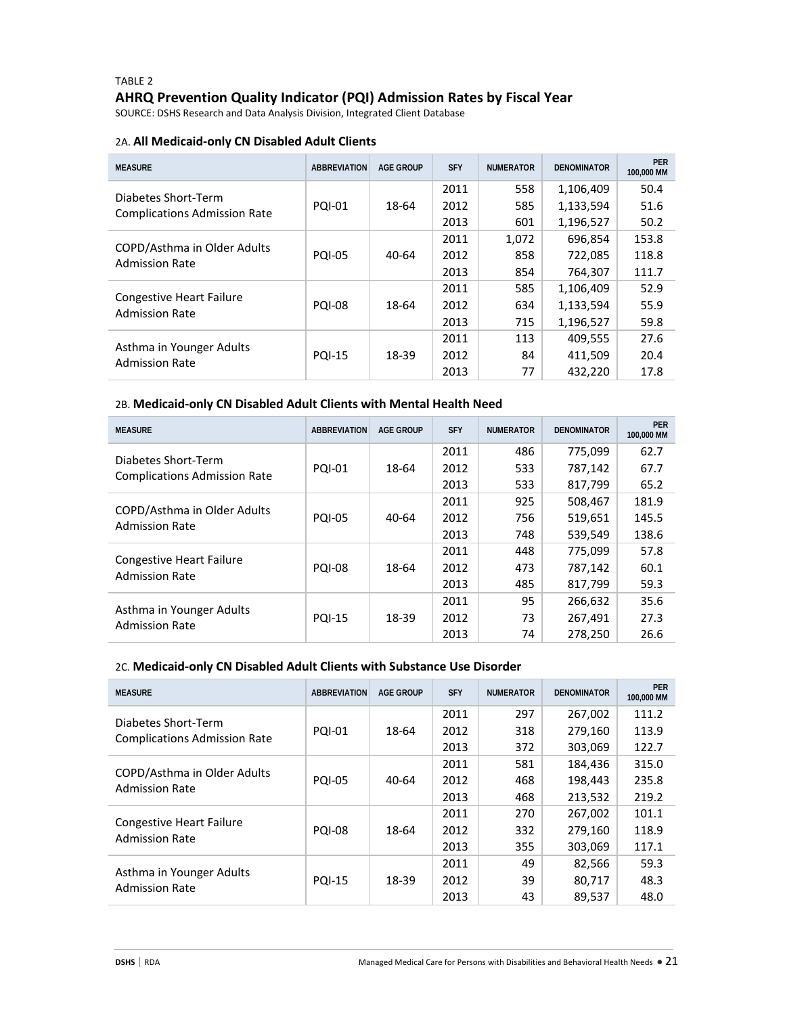# TABLE 2 **AHRQ Prevention Quality Indicator (PQI) Admission Rates by Fiscal Year**

SOURCE: DSHS Research and Data Analysis Division, Integrated Client Database

#### 2A. **All Medicaid-only CN Disabled Adult Clients**

| <b>MEASURE</b>                                           | <b>ABBREVIATION</b> | <b>AGE GROUP</b> | <b>SFY</b> | <b>NUMERATOR</b> | <b>DENOMINATOR</b> | <b>PER</b><br>100,000 MM |
|----------------------------------------------------------|---------------------|------------------|------------|------------------|--------------------|--------------------------|
| Diabetes Short-Term                                      |                     |                  | 2011       | 558              | 1,106,409          | 50.4                     |
| <b>Complications Admission Rate</b>                      | <b>PQI-01</b>       | 18-64            | 2012       | 585              | 1,133,594          | 51.6                     |
|                                                          |                     |                  | 2013       | 601              | 1,196,527          | 50.2                     |
|                                                          |                     |                  | 2011       | 1,072            | 696,854            | 153.8                    |
| COPD/Asthma in Older Adults<br><b>Admission Rate</b>     | <b>PQI-05</b>       | $40 - 64$        | 2012       | 858              | 722,085            | 118.8                    |
|                                                          |                     |                  | 2013       | 854              | 764,307            | 111.7                    |
|                                                          |                     |                  | 2011       | 585              | 1,106,409          | 52.9                     |
| <b>Congestive Heart Failure</b><br><b>Admission Rate</b> | <b>PQI-08</b>       | 18-64            | 2012       | 634              | 1,133,594          | 55.9                     |
|                                                          |                     |                  | 2013       | 715              | 1,196,527          | 59.8                     |
|                                                          |                     |                  | 2011       | 113              | 409,555            | 27.6                     |
| Asthma in Younger Adults<br><b>Admission Rate</b>        | <b>PQI-15</b>       | 18-39            | 2012       | 84               | 411.509            | 20.4                     |
|                                                          |                     |                  | 2013       | 77               | 432.220            | 17.8                     |

#### 2B. **Medicaid-only CN Disabled Adult Clients with Mental Health Need**

| <b>MEASURE</b>                                           | <b>ABBREVIATION</b> | <b>AGE GROUP</b> | <b>SFY</b> | <b>NUMERATOR</b> | <b>DENOMINATOR</b> | <b>PER</b><br>100,000 MM |
|----------------------------------------------------------|---------------------|------------------|------------|------------------|--------------------|--------------------------|
| Diabetes Short-Term                                      |                     |                  | 2011       | 486              | 775,099            | 62.7                     |
| <b>Complications Admission Rate</b>                      | <b>PQI-01</b>       | 18-64            | 2012       | 533              | 787,142            | 67.7                     |
|                                                          |                     |                  | 2013       | 533              | 817,799            | 65.2                     |
|                                                          |                     |                  | 2011       | 925              | 508,467            | 181.9                    |
| COPD/Asthma in Older Adults<br><b>Admission Rate</b>     | <b>PQI-05</b>       | $40 - 64$        | 2012       | 756              | 519,651            | 145.5                    |
|                                                          |                     |                  | 2013       | 748              | 539,549            | 138.6                    |
|                                                          |                     | 18-64            | 2011       | 448              | 775,099            | 57.8                     |
| <b>Congestive Heart Failure</b><br><b>Admission Rate</b> | <b>PQI-08</b>       |                  | 2012       | 473              | 787,142            | 60.1                     |
|                                                          |                     |                  | 2013       | 485              | 817,799            | 59.3                     |
|                                                          |                     |                  | 2011       | 95               | 266,632            | 35.6                     |
| Asthma in Younger Adults<br><b>Admission Rate</b>        | <b>PQI-15</b>       | 18-39            | 2012       | 73               | 267,491            | 27.3                     |
|                                                          |                     |                  | 2013       | 74               | 278,250            | 26.6                     |

## 2C. **Medicaid-only CN Disabled Adult Clients with Substance Use Disorder**

| <b>MEASURE</b>                                       | <b>ABBREVIATION</b> | <b>AGE GROUP</b> | <b>SFY</b> | <b>NUMERATOR</b> | <b>DENOMINATOR</b> | <b>PER</b><br>100,000 MM |
|------------------------------------------------------|---------------------|------------------|------------|------------------|--------------------|--------------------------|
| Diabetes Short-Term                                  |                     | 18-64            | 2011       | 297              | 267,002            | 111.2                    |
| <b>Complications Admission Rate</b>                  | <b>PQI-01</b>       |                  | 2012       | 318              | 279,160            | 113.9                    |
|                                                      |                     |                  | 2013       | 372              | 303,069            | 122.7                    |
|                                                      |                     |                  | 2011       | 581              | 184,436            | 315.0                    |
| COPD/Asthma in Older Adults<br><b>Admission Rate</b> | <b>PQI-05</b>       | 40-64            | 2012       | 468              | 198,443            | 235.8                    |
|                                                      |                     |                  | 2013       | 468              | 213,532            | 219.2                    |
| <b>Congestive Heart Failure</b>                      |                     | 18-64            | 2011       | 270              | 267,002            | 101.1                    |
| <b>Admission Rate</b>                                | <b>PQI-08</b>       |                  | 2012       | 332              | 279.160            | 118.9                    |
|                                                      |                     |                  | 2013       | 355              | 303,069            | 117.1                    |
|                                                      |                     |                  | 2011       | 49               | 82,566             | 59.3                     |
| Asthma in Younger Adults<br><b>Admission Rate</b>    | <b>PQI-15</b>       | 18-39            | 2012       | 39               | 80,717             | 48.3                     |
|                                                      |                     |                  | 2013       | 43               | 89.537             | 48.0                     |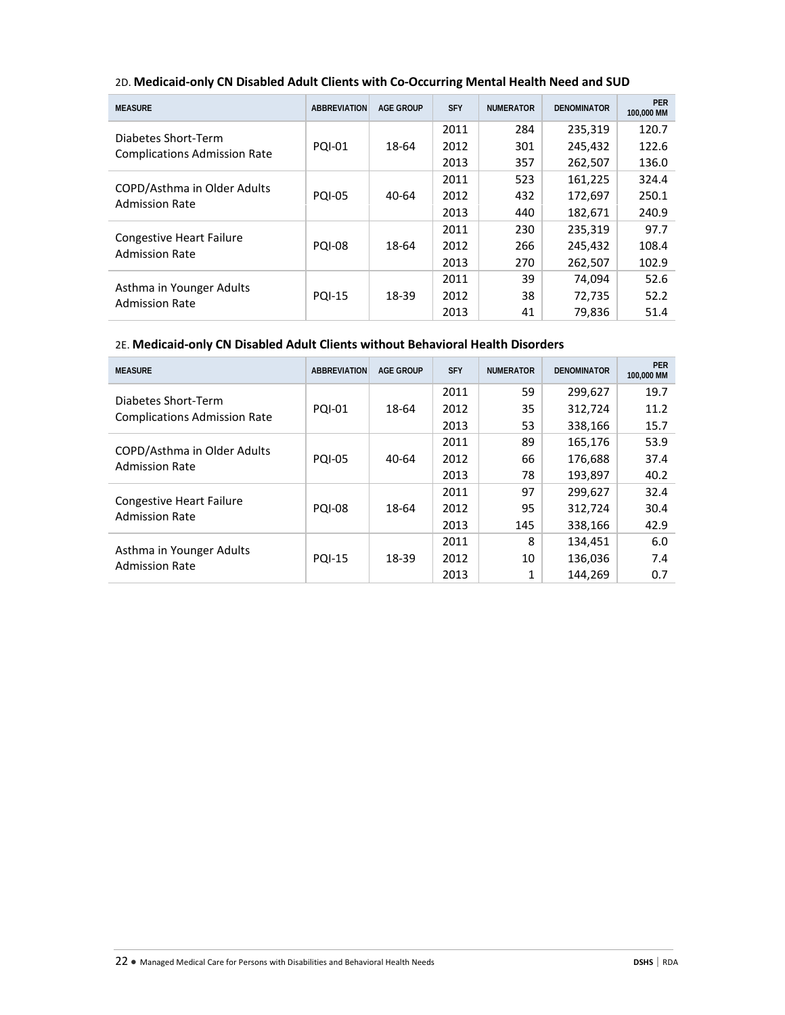| <b>MEASURE</b>                                             | <b>ABBREVIATION</b> | <b>AGE GROUP</b> | <b>SFY</b> | <b>NUMERATOR</b> | <b>DENOMINATOR</b> | <b>PER</b><br>100,000 MM |
|------------------------------------------------------------|---------------------|------------------|------------|------------------|--------------------|--------------------------|
|                                                            |                     |                  | 2011       | 284              | 235,319            | 120.7                    |
| Diabetes Short-Term<br><b>Complications Admission Rate</b> | <b>PQI-01</b>       | 18-64            | 2012       | 301              | 245,432            | 122.6                    |
|                                                            |                     |                  | 2013       | 357              | 262,507            | 136.0                    |
|                                                            |                     |                  | 2011       | 523              | 161,225            | 324.4                    |
| COPD/Asthma in Older Adults<br><b>Admission Rate</b>       | <b>PQI-05</b>       | $40 - 64$        | 2012       | 432              | 172,697            | 250.1                    |
|                                                            |                     |                  | 2013       | 440              | 182,671            | 240.9                    |
|                                                            |                     |                  | 2011       | 230              | 235,319            | 97.7                     |
| <b>Congestive Heart Failure</b><br><b>Admission Rate</b>   | <b>PQI-08</b>       | 18-64            | 2012       | 266              | 245,432            | 108.4                    |
|                                                            |                     |                  | 2013       | 270              | 262,507            | 102.9                    |
|                                                            |                     |                  | 2011       | 39               | 74.094             | 52.6                     |
| Asthma in Younger Adults<br><b>Admission Rate</b>          | <b>PQI-15</b>       | 18-39            | 2012       | 38               | 72,735             | 52.2                     |
|                                                            |                     |                  | 2013       | 41               | 79,836             | 51.4                     |

## 2D. **Medicaid-only CN Disabled Adult Clients with Co-Occurring Mental Health Need and SUD**

# 2E. **Medicaid-only CN Disabled Adult Clients without Behavioral Health Disorders**

| <b>MEASURE</b>                                       | <b>ABBREVIATION</b> | <b>AGE GROUP</b> | <b>SFY</b> | <b>NUMERATOR</b> | <b>DENOMINATOR</b> | <b>PER</b><br>100,000 MM |
|------------------------------------------------------|---------------------|------------------|------------|------------------|--------------------|--------------------------|
| Diabetes Short-Term                                  |                     | 18-64            | 2011       | 59               | 299,627            | 19.7                     |
| <b>Complications Admission Rate</b>                  | <b>PQI-01</b>       |                  | 2012       | 35               | 312,724            | 11.2                     |
|                                                      |                     |                  | 2013       | 53               | 338,166            | 15.7                     |
|                                                      |                     |                  | 2011       | 89               | 165,176            | 53.9                     |
| COPD/Asthma in Older Adults<br><b>Admission Rate</b> | <b>PQI-05</b>       | 40-64            | 2012       | 66               | 176,688            | 37.4                     |
|                                                      |                     |                  | 2013       | 78               | 193,897            | 40.2                     |
|                                                      |                     |                  | 2011       | 97               | 299.627            | 32.4                     |
| Congestive Heart Failure<br><b>Admission Rate</b>    | <b>PQI-08</b>       | 18-64            | 2012       | 95               | 312,724            | 30.4                     |
|                                                      |                     |                  | 2013       | 145              | 338,166            | 42.9                     |
|                                                      |                     |                  | 2011       | 8                | 134,451            | 6.0                      |
| Asthma in Younger Adults<br><b>Admission Rate</b>    | <b>PQI-15</b>       | 18-39            | 2012       | 10               | 136,036            | 7.4                      |
|                                                      |                     |                  | 2013       | 1                | 144.269            | 0.7                      |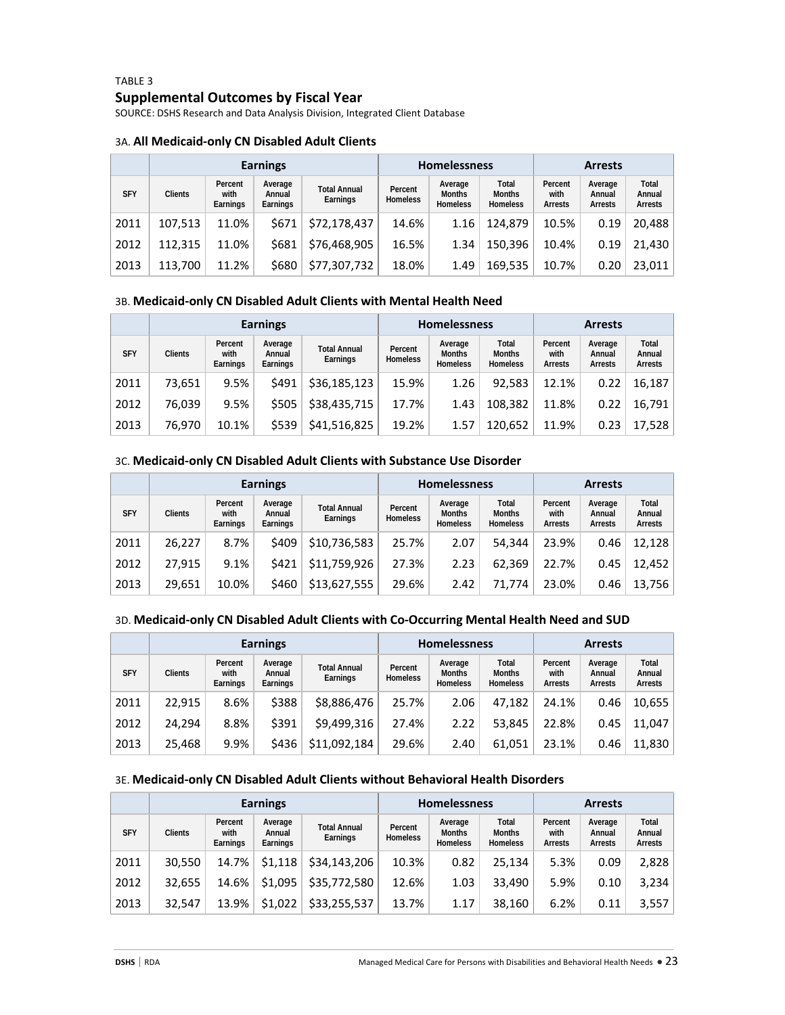# TABLE 3 **Supplemental Outcomes by Fiscal Year**

SOURCE: DSHS Research and Data Analysis Division, Integrated Client Database

#### 3A. **All Medicaid-only CN Disabled Adult Clients**

|            |                |                             | <b>Earnings</b>               |                                 |                            | <b>Homelessness</b>                         |                                           | <b>Arrests</b>                    |                              |                            |
|------------|----------------|-----------------------------|-------------------------------|---------------------------------|----------------------------|---------------------------------------------|-------------------------------------------|-----------------------------------|------------------------------|----------------------------|
| <b>SFY</b> | <b>Clients</b> | Percent<br>with<br>Earnings | Average<br>Annual<br>Earnings | <b>Total Annual</b><br>Earnings | Percent<br><b>Homeless</b> | Average<br><b>Months</b><br><b>Homeless</b> | Total<br><b>Months</b><br><b>Homeless</b> | Percent<br>with<br><b>Arrests</b> | Average<br>Annual<br>Arrests | Total<br>Annual<br>Arrests |
| 2011       | 107.513        | 11.0%                       | \$671                         | \$72,178,437                    | 14.6%                      | 1.16                                        | 124.879                                   | 10.5%                             | 0.19                         | 20.488                     |
| 2012       | 112.315        | 11.0%                       | \$681                         | \$76,468,905                    | 16.5%                      | 1.34                                        | 150,396                                   | 10.4%                             | 0.19                         | 21,430                     |
| 2013       | 113.700        | 11.2%                       | \$680                         | \$77,307,732                    | 18.0%                      | 1.49                                        | 169,535                                   | 10.7%                             | 0.20                         | 23.011                     |

#### 3B. **Medicaid-only CN Disabled Adult Clients with Mental Health Need**

|            | <b>Earnings</b> |                             |                               |                                 |                            | <b>Homelessness</b>                         |                                           | <b>Arrests</b>                    |                              |                            |
|------------|-----------------|-----------------------------|-------------------------------|---------------------------------|----------------------------|---------------------------------------------|-------------------------------------------|-----------------------------------|------------------------------|----------------------------|
| <b>SFY</b> | <b>Clients</b>  | Percent<br>with<br>Earnings | Average<br>Annual<br>Earnings | <b>Total Annual</b><br>Earnings | Percent<br><b>Homeless</b> | Average<br><b>Months</b><br><b>Homeless</b> | Total<br><b>Months</b><br><b>Homeless</b> | Percent<br>with<br><b>Arrests</b> | Average<br>Annual<br>Arrests | Total<br>Annual<br>Arrests |
| 2011       | 73,651          | 9.5%                        | \$491                         | \$36,185,123                    | 15.9%                      | 1.26                                        | 92.583                                    | 12.1%                             | 0.22                         | 16,187                     |
| 2012       | 76,039          | 9.5%                        | \$505                         | \$38,435,715                    | 17.7%                      | 1.43                                        | 108.382                                   | 11.8%                             | 0.22                         | 16,791                     |
| 2013       | 76,970          | 10.1%                       | \$539                         | \$41,516,825                    | 19.2%                      | 1.57                                        | 120,652                                   | 11.9%                             | 0.23                         | 17,528                     |

### 3C. **Medicaid-only CN Disabled Adult Clients with Substance Use Disorder**

|            | <b>Earnings</b> |                             |                               |                                 |                            | <b>Homelessness</b>                         |                                           | <b>Arrests</b>                    |                              |                            |  |
|------------|-----------------|-----------------------------|-------------------------------|---------------------------------|----------------------------|---------------------------------------------|-------------------------------------------|-----------------------------------|------------------------------|----------------------------|--|
| <b>SFY</b> | <b>Clients</b>  | Percent<br>with<br>Earnings | Average<br>Annual<br>Earnings | <b>Total Annual</b><br>Earnings | Percent<br><b>Homeless</b> | Average<br><b>Months</b><br><b>Homeless</b> | Total<br><b>Months</b><br><b>Homeless</b> | Percent<br>with<br><b>Arrests</b> | Average<br>Annual<br>Arrests | Total<br>Annual<br>Arrests |  |
| 2011       | 26,227          | 8.7%                        | \$409                         | \$10,736,583                    | 25.7%                      | 2.07                                        | 54.344                                    | 23.9%                             | 0.46                         | 12,128                     |  |
| 2012       | 27.915          | 9.1%                        | \$421                         | \$11,759,926                    | 27.3%                      | 2.23                                        | 62.369                                    | 22.7%                             | 0.45                         | 12.452                     |  |
| 2013       | 29,651          | 10.0%                       | \$460                         | \$13,627,555                    | 29.6%                      | 2.42                                        | 71.774                                    | 23.0%                             | 0.46                         | 13,756                     |  |

## 3D. **Medicaid-only CN Disabled Adult Clients with Co-Occurring Mental Health Need and SUD**

|            |                |                             | <b>Earnings</b>               |                                 | <b>Homelessness</b>        |                                             |                                           | <b>Arrests</b>             |                              |                            |
|------------|----------------|-----------------------------|-------------------------------|---------------------------------|----------------------------|---------------------------------------------|-------------------------------------------|----------------------------|------------------------------|----------------------------|
| <b>SFY</b> | <b>Clients</b> | Percent<br>with<br>Earnings | Average<br>Annual<br>Earnings | <b>Total Annual</b><br>Earnings | Percent<br><b>Homeless</b> | Average<br><b>Months</b><br><b>Homeless</b> | Total<br><b>Months</b><br><b>Homeless</b> | Percent<br>with<br>Arrests | Average<br>Annual<br>Arrests | Total<br>Annual<br>Arrests |
| 2011       | 22.915         | 8.6%                        | \$388                         | \$8,886,476                     | 25.7%                      | 2.06                                        | 47.182                                    | 24.1%                      | 0.46                         | 10,655                     |
| 2012       | 24.294         | 8.8%                        | \$391                         | \$9,499,316                     | 27.4%                      | 2.22                                        | 53.845                                    | 22.8%                      | 0.45                         | 11.047                     |
| 2013       | 25,468         | 9.9%                        | \$436                         | \$11,092,184                    | 29.6%                      | 2.40                                        | 61,051                                    | 23.1%                      | 0.46                         | 11,830                     |

#### 3E. **Medicaid-only CN Disabled Adult Clients without Behavioral Health Disorders**

|            | <b>Earnings</b> |                             |                               |                                 |                            | <b>Homelessness</b>                         |                                           | <b>Arrests</b>                    |                              |                            |
|------------|-----------------|-----------------------------|-------------------------------|---------------------------------|----------------------------|---------------------------------------------|-------------------------------------------|-----------------------------------|------------------------------|----------------------------|
| <b>SFY</b> | <b>Clients</b>  | Percent<br>with<br>Earnings | Average<br>Annual<br>Earnings | <b>Total Annual</b><br>Earnings | Percent<br><b>Homeless</b> | Average<br><b>Months</b><br><b>Homeless</b> | Total<br><b>Months</b><br><b>Homeless</b> | Percent<br>with<br><b>Arrests</b> | Average<br>Annual<br>Arrests | Total<br>Annual<br>Arrests |
| 2011       | 30.550          | 14.7%                       | \$1.118                       | \$34,143,206                    | 10.3%                      | 0.82                                        | 25.134                                    | 5.3%                              | 0.09                         | 2,828                      |
| 2012       | 32,655          | 14.6%                       | \$1,095                       | \$35,772,580                    | 12.6%                      | 1.03                                        | 33.490                                    | 5.9%                              | 0.10                         | 3,234                      |
| 2013       | 32.547          | 13.9%                       | \$1,022                       | \$33,255,537                    | 13.7%                      | 1.17                                        | 38,160                                    | 6.2%                              | 0.11                         | 3,557                      |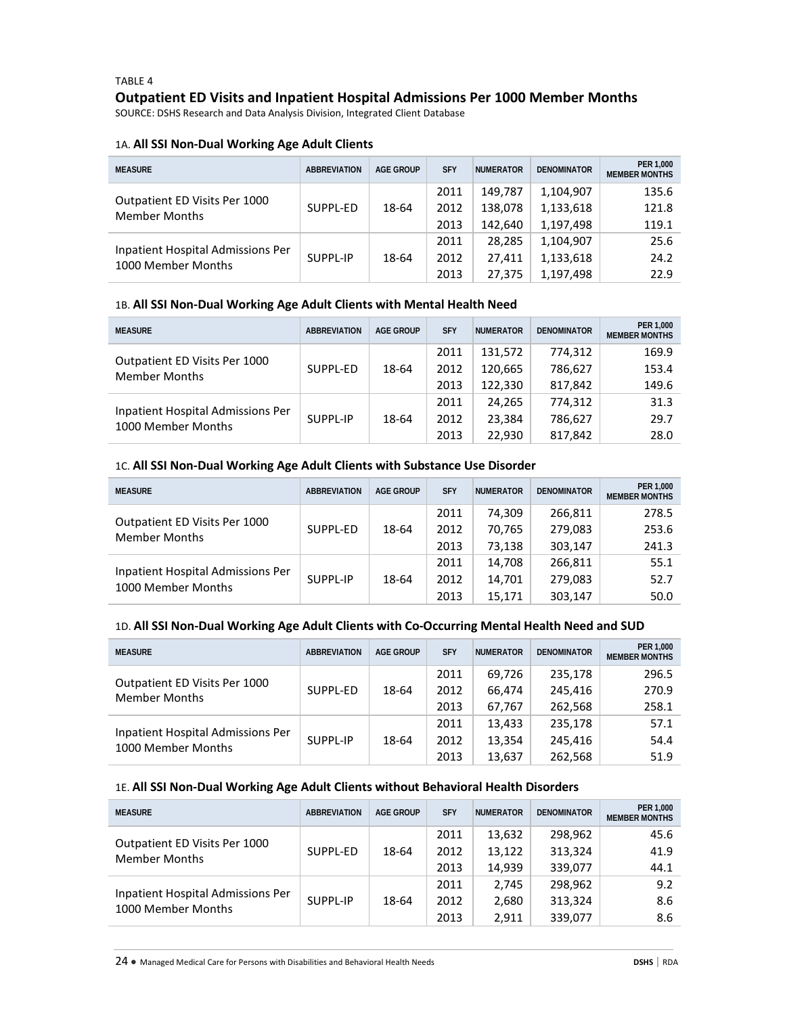# TABLE 4 **Outpatient ED Visits and Inpatient Hospital Admissions Per 1000 Member Months**

SOURCE: DSHS Research and Data Analysis Division, Integrated Client Database

#### 1A. **All SSI Non-Dual Working Age Adult Clients**

| <b>MEASURE</b>                                          | <b>ABBREVIATION</b> | AGE GROUP | <b>SFY</b>           | <b>NUMERATOR</b>              | <b>DENOMINATOR</b>                  | PER 1,000<br><b>MEMBER MONTHS</b> |
|---------------------------------------------------------|---------------------|-----------|----------------------|-------------------------------|-------------------------------------|-----------------------------------|
| Outpatient ED Visits Per 1000<br><b>Member Months</b>   | SUPPL-ED            | 18-64     | 2011<br>2012<br>2013 | 149.787<br>138,078<br>142.640 | 1,104,907<br>1,133,618<br>1,197,498 | 135.6<br>121.8<br>119.1           |
| Inpatient Hospital Admissions Per<br>1000 Member Months | SUPPL-IP            | 18-64     | 2011<br>2012<br>2013 | 28.285<br>27.411<br>27,375    | 1,104,907<br>1,133,618<br>1,197,498 | 25.6<br>24.2<br>22.9              |

#### 1B. **All SSI Non-Dual Working Age Adult Clients with Mental Health Need**

| <b>MEASURE</b>                                          | <b>ABBREVIATION</b> | <b>AGE GROUP</b> | <b>SFY</b> | <b>NUMERATOR</b> | <b>DENOMINATOR</b> | PER 1,000<br><b>MEMBER MONTHS</b> |
|---------------------------------------------------------|---------------------|------------------|------------|------------------|--------------------|-----------------------------------|
|                                                         |                     |                  | 2011       | 131.572          | 774,312            | 169.9                             |
| Outpatient ED Visits Per 1000<br><b>Member Months</b>   | SUPPL-ED            | 18-64            | 2012       | 120.665          | 786,627            | 153.4                             |
|                                                         |                     |                  | 2013       | 122.330          | 817,842            | 149.6                             |
|                                                         |                     |                  | 2011       | 24.265           | 774.312            | 31.3                              |
| Inpatient Hospital Admissions Per<br>1000 Member Months | SUPPL-IP            | 18-64            | 2012       | 23.384           | 786.627            | 29.7                              |
|                                                         |                     |                  | 2013       | 22.930           | 817,842            | 28.0                              |

## 1C. **All SSI Non-Dual Working Age Adult Clients with Substance Use Disorder**

| <b>MEASURE</b>                                          | <b>ABBREVIATION</b> | <b>AGE GROUP</b> | <b>SFY</b> | <b>NUMERATOR</b> | <b>DENOMINATOR</b> | PER 1.000<br><b>MEMBER MONTHS</b> |
|---------------------------------------------------------|---------------------|------------------|------------|------------------|--------------------|-----------------------------------|
| Outpatient ED Visits Per 1000<br><b>Member Months</b>   | SUPPL-ED            | 18-64            | 2011       | 74.309           | 266.811            | 278.5                             |
|                                                         |                     |                  | 2012       | 70,765           | 279,083            | 253.6                             |
|                                                         |                     |                  | 2013       | 73,138           | 303,147            | 241.3                             |
| Inpatient Hospital Admissions Per<br>1000 Member Months | SUPPL-IP            | 18-64            | 2011       | 14.708           | 266,811            | 55.1                              |
|                                                         |                     |                  | 2012       | 14.701           | 279.083            | 52.7                              |
|                                                         |                     |                  | 2013       | 15,171           | 303,147            | 50.0                              |

#### 1D. **All SSI Non-Dual Working Age Adult Clients with Co-Occurring Mental Health Need and SUD**

| <b>MEASURE</b>                                          | <b>ABBREVIATION</b> | AGE GROUP | <b>SFY</b> | <b>NUMERATOR</b> | <b>DENOMINATOR</b> | PER 1,000<br><b>MEMBER MONTHS</b> |
|---------------------------------------------------------|---------------------|-----------|------------|------------------|--------------------|-----------------------------------|
| Outpatient ED Visits Per 1000<br><b>Member Months</b>   | SUPPL-ED            | 18-64     | 2011       | 69.726           | 235,178            | 296.5                             |
|                                                         |                     |           | 2012       | 66.474           | 245.416            | 270.9                             |
|                                                         |                     |           | 2013       | 67,767           | 262,568            | 258.1                             |
| Inpatient Hospital Admissions Per<br>1000 Member Months | SUPPL-IP            | 18-64     | 2011       | 13.433           | 235.178            | 57.1                              |
|                                                         |                     |           | 2012       | 13.354           | 245.416            | 54.4                              |
|                                                         |                     |           | 2013       | 13,637           | 262,568            | 51.9                              |

#### 1E. **All SSI Non-Dual Working Age Adult Clients without Behavioral Health Disorders**

| <b>MEASURE</b>                                          | <b>ABBREVIATION</b> | <b>AGE GROUP</b> | <b>SFY</b> | <b>NUMERATOR</b> | <b>DENOMINATOR</b> | PER 1,000<br><b>MEMBER MONTHS</b> |
|---------------------------------------------------------|---------------------|------------------|------------|------------------|--------------------|-----------------------------------|
| Outpatient ED Visits Per 1000<br><b>Member Months</b>   | SUPPL-ED            | 18-64            | 2011       | 13,632           | 298.962            | 45.6                              |
|                                                         |                     |                  | 2012       | 13,122           | 313,324            | 41.9                              |
|                                                         |                     |                  | 2013       | 14,939           | 339,077            | 44.1                              |
| Inpatient Hospital Admissions Per<br>1000 Member Months | SUPPL-IP            | 18-64            | 2011       | 2.745            | 298.962            | 9.2                               |
|                                                         |                     |                  | 2012       | 2,680            | 313,324            | 8.6                               |
|                                                         |                     |                  | 2013       | 2,911            | 339,077            | 8.6                               |

24 ● Managed Medical Care for Persons with Disabilities and Behavioral Health Needs **DSHS** | RDA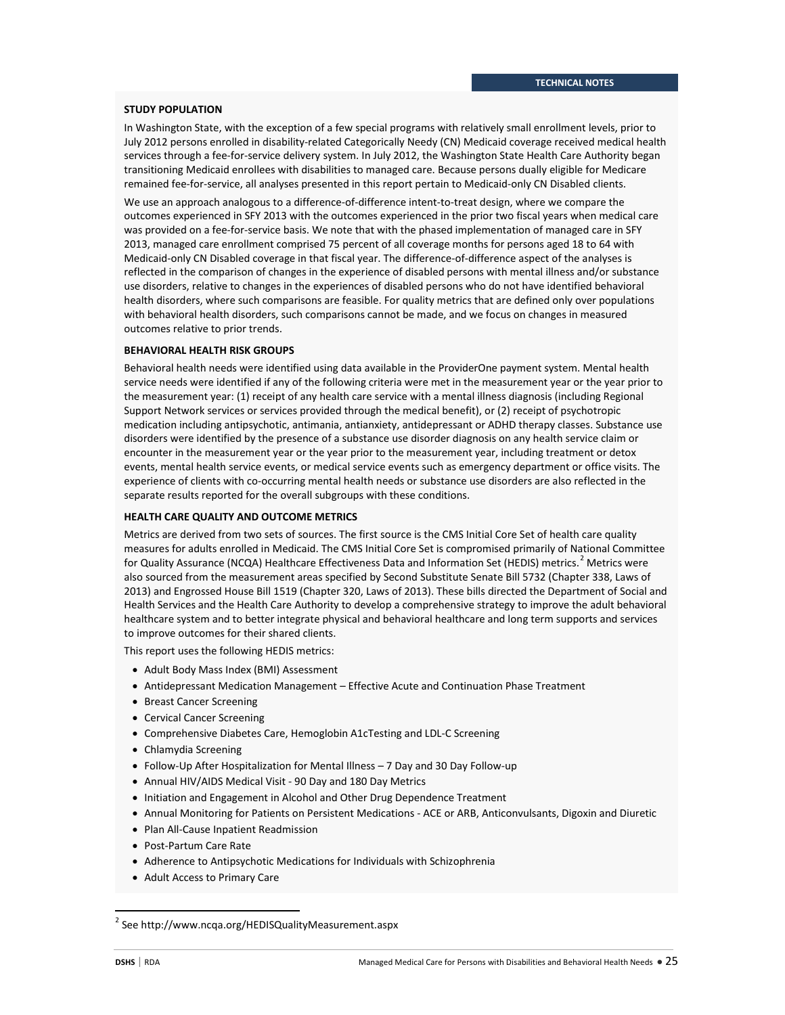#### **STUDY POPULATION**

In Washington State, with the exception of a few special programs with relatively small enrollment levels, prior to July 2012 persons enrolled in disability-related Categorically Needy (CN) Medicaid coverage received medical health services through a fee-for-service delivery system. In July 2012, the Washington State Health Care Authority began transitioning Medicaid enrollees with disabilities to managed care. Because persons dually eligible for Medicare remained fee-for-service, all analyses presented in this report pertain to Medicaid-only CN Disabled clients.

We use an approach analogous to a difference-of-difference intent-to-treat design, where we compare the outcomes experienced in SFY 2013 with the outcomes experienced in the prior two fiscal years when medical care was provided on a fee-for-service basis. We note that with the phased implementation of managed care in SFY 2013, managed care enrollment comprised 75 percent of all coverage months for persons aged 18 to 64 with Medicaid-only CN Disabled coverage in that fiscal year. The difference-of-difference aspect of the analyses is reflected in the comparison of changes in the experience of disabled persons with mental illness and/or substance use disorders, relative to changes in the experiences of disabled persons who do not have identified behavioral health disorders, where such comparisons are feasible. For quality metrics that are defined only over populations with behavioral health disorders, such comparisons cannot be made, and we focus on changes in measured outcomes relative to prior trends.

#### **BEHAVIORAL HEALTH RISK GROUPS**

Behavioral health needs were identified using data available in the ProviderOne payment system. Mental health service needs were identified if any of the following criteria were met in the measurement year or the year prior to the measurement year: (1) receipt of any health care service with a mental illness diagnosis (including Regional Support Network services or services provided through the medical benefit), or (2) receipt of psychotropic medication including antipsychotic, antimania, antianxiety, antidepressant or ADHD therapy classes. Substance use disorders were identified by the presence of a substance use disorder diagnosis on any health service claim or encounter in the measurement year or the year prior to the measurement year, including treatment or detox events, mental health service events, or medical service events such as emergency department or office visits. The experience of clients with co-occurring mental health needs or substance use disorders are also reflected in the separate results reported for the overall subgroups with these conditions.

#### **HEALTH CARE QUALITY AND OUTCOME METRICS**

Metrics are derived from two sets of sources. The first source is the CMS Initial Core Set of health care quality measures for adults enrolled in Medicaid. The CMS Initial Core Set is compromised primarily of National Committee for Quality Assurance (NCQA) Healthcare Effectiveness Data and Information Set (HEDIS) metrics.<sup>[2](#page-24-0)</sup> Metrics were also sourced from the measurement areas specified by Second Substitute Senate Bill 5732 (Chapter 338, Laws of 2013) and Engrossed House Bill 1519 (Chapter 320, Laws of 2013). These bills directed the Department of Social and Health Services and the Health Care Authority to develop a comprehensive strategy to improve the adult behavioral healthcare system and to better integrate physical and behavioral healthcare and long term supports and services to improve outcomes for their shared clients.

This report uses the following HEDIS metrics:

- Adult Body Mass Index (BMI) Assessment
- Antidepressant Medication Management Effective Acute and Continuation Phase Treatment
- Breast Cancer Screening
- Cervical Cancer Screening
- Comprehensive Diabetes Care, Hemoglobin A1cTesting and LDL-C Screening
- Chlamydia Screening
- Follow-Up After Hospitalization for Mental Illness 7 Day and 30 Day Follow-up
- Annual HIV/AIDS Medical Visit 90 Day and 180 Day Metrics
- Initiation and Engagement in Alcohol and Other Drug Dependence Treatment
- Annual Monitoring for Patients on Persistent Medications ACE or ARB, Anticonvulsants, Digoxin and Diuretic
- Plan All-Cause Inpatient Readmission
- Post-Partum Care Rate
- Adherence to Antipsychotic Medications for Individuals with Schizophrenia
- Adult Access to Primary Care

 $\overline{\phantom{a}}$ 

<span id="page-24-0"></span><sup>2</sup> See http://www.ncqa.org/HEDISQualityMeasurement.aspx